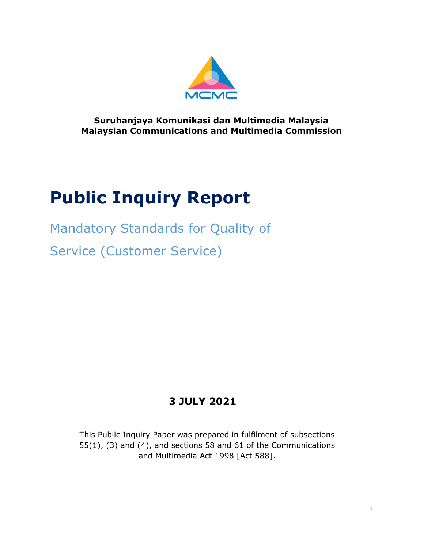

**Suruhanjaya Komunikasi dan Multimedia Malaysia Malaysian Communications and Multimedia Commission**

# **Public Inquiry Report**

Mandatory Standards for Quality of Service (Customer Service)

# **3 JULY 2021**

<span id="page-0-0"></span>This Public Inquiry Paper was prepared in fulfilment of subsections 55(1), (3) and (4), and sections 58 and 61 of the Communications and Multimedia Act 1998 [Act 588].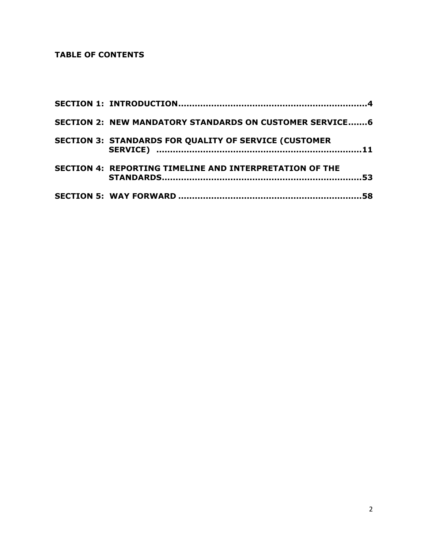# <span id="page-1-0"></span>**TABLE OF CONTENTS**

| <b>SECTION 2: NEW MANDATORY STANDARDS ON CUSTOMER SERVICE 6</b> |  |
|-----------------------------------------------------------------|--|
| <b>SECTION 3: STANDARDS FOR QUALITY OF SERVICE (CUSTOMER</b>    |  |
| SECTION 4: REPORTING TIMELINE AND INTERPRETATION OF THE         |  |
|                                                                 |  |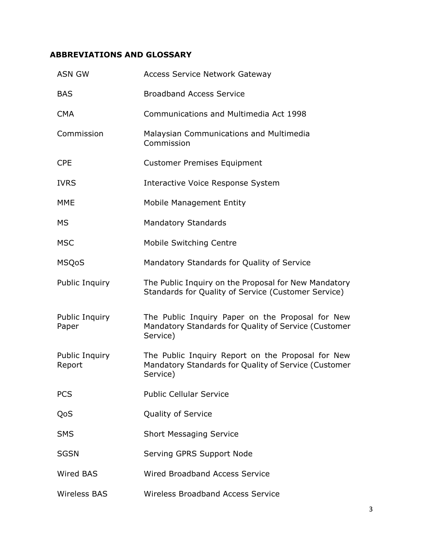# **ABBREVIATIONS AND GLOSSARY**

| <b>ASN GW</b>            | <b>Access Service Network Gateway</b>                                                                                 |
|--------------------------|-----------------------------------------------------------------------------------------------------------------------|
| <b>BAS</b>               | <b>Broadband Access Service</b>                                                                                       |
| <b>CMA</b>               | Communications and Multimedia Act 1998                                                                                |
| Commission               | Malaysian Communications and Multimedia<br>Commission                                                                 |
| <b>CPE</b>               | <b>Customer Premises Equipment</b>                                                                                    |
| <b>IVRS</b>              | Interactive Voice Response System                                                                                     |
| <b>MME</b>               | Mobile Management Entity                                                                                              |
| <b>MS</b>                | Mandatory Standards                                                                                                   |
| <b>MSC</b>               | Mobile Switching Centre                                                                                               |
| <b>MSQoS</b>             | Mandatory Standards for Quality of Service                                                                            |
| Public Inquiry           | The Public Inquiry on the Proposal for New Mandatory<br>Standards for Quality of Service (Customer Service)           |
| Public Inquiry<br>Paper  | The Public Inquiry Paper on the Proposal for New<br>Mandatory Standards for Quality of Service (Customer<br>Service)  |
| Public Inquiry<br>Report | The Public Inquiry Report on the Proposal for New<br>Mandatory Standards for Quality of Service (Customer<br>Service) |
| <b>PCS</b>               | <b>Public Cellular Service</b>                                                                                        |
| QoS                      | Quality of Service                                                                                                    |
| <b>SMS</b>               | <b>Short Messaging Service</b>                                                                                        |
| <b>SGSN</b>              | Serving GPRS Support Node                                                                                             |
| Wired BAS                | <b>Wired Broadband Access Service</b>                                                                                 |
| <b>Wireless BAS</b>      | <b>Wireless Broadband Access Service</b>                                                                              |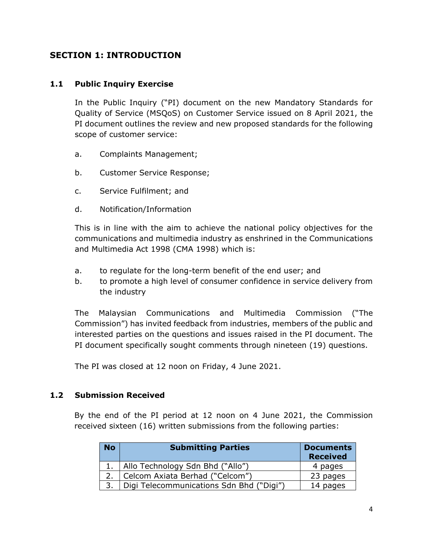# **SECTION 1: INTRODUCTION**

# **1.1 Public Inquiry Exercise**

In the Public Inquiry ("PI) document on the new Mandatory Standards for Quality of Service (MSQoS) on Customer Service issued on 8 April 2021, the PI document outlines the review and new proposed standards for the following scope of customer service:

- a. Complaints Management;
- b. Customer Service Response;
- c. Service Fulfilment; and
- d. Notification/Information

This is in line with the aim to achieve the national policy objectives for the communications and multimedia industry as enshrined in the Communications and Multimedia Act 1998 (CMA 1998) which is:

- a. to regulate for the long-term benefit of the end user; and
- b. to promote a high level of consumer confidence in service delivery from the industry

The Malaysian Communications and Multimedia Commission ("The Commission") has invited feedback from industries, members of the public and interested parties on the questions and issues raised in the PI document. The PI document specifically sought comments through nineteen (19) questions.

The PI was closed at 12 noon on Friday, 4 June 2021.

#### **1.2 Submission Received**

By the end of the PI period at 12 noon on 4 June 2021, the Commission received sixteen (16) written submissions from the following parties:

| <b>No</b> | <b>Submitting Parties</b>                | <b>Documents</b><br><b>Received</b> |
|-----------|------------------------------------------|-------------------------------------|
|           | Allo Technology Sdn Bhd ("Allo")         | 4 pages                             |
|           | Celcom Axiata Berhad ("Celcom")          | 23 pages                            |
|           | Digi Telecommunications Sdn Bhd ("Digi") | 14 pages                            |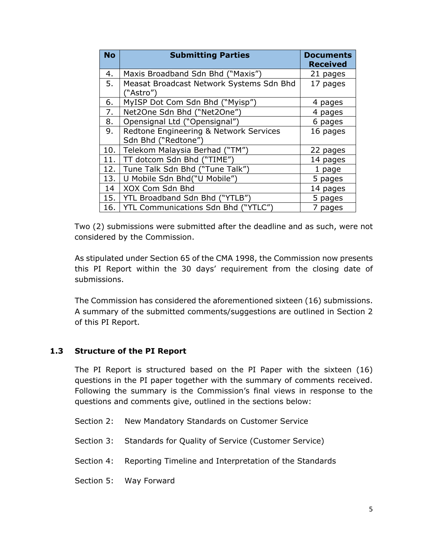| <b>No</b> | <b>Submitting Parties</b>                             | <b>Documents</b><br><b>Received</b> |
|-----------|-------------------------------------------------------|-------------------------------------|
| 4.        | Maxis Broadband Sdn Bhd ("Maxis")                     | 21 pages                            |
| 5.        | Measat Broadcast Network Systems Sdn Bhd<br>("Astro") | 17 pages                            |
| 6.        | MyISP Dot Com Sdn Bhd ("Myisp")                       | 4 pages                             |
| 7.        | Net2One Sdn Bhd ("Net2One")                           | 4 pages                             |
| 8.        | Opensignal Ltd ("Opensignal")                         | 6 pages                             |
| 9.        | Redtone Engineering & Network Services                | 16 pages                            |
|           | Sdn Bhd ("Redtone")                                   |                                     |
| 10.       | Telekom Malaysia Berhad ("TM")                        | 22 pages                            |
| 11.       | TT dotcom Sdn Bhd ("TIME")                            | 14 pages                            |
| 12.       | Tune Talk Sdn Bhd ("Tune Talk")                       | 1 page                              |
| 13.       | U Mobile Sdn Bhd("U Mobile")                          | 5 pages                             |
| 14        | XOX Com Sdn Bhd                                       | 14 pages                            |
| 15.       | YTL Broadband Sdn Bhd ("YTLB")                        | 5 pages                             |
| 16.       | YTL Communications Sdn Bhd                            | 7 pages                             |

Two (2) submissions were submitted after the deadline and as such, were not considered by the Commission.

As stipulated under Section 65 of the CMA 1998, the Commission now presents this PI Report within the 30 days' requirement from the closing date of submissions.

The Commission has considered the aforementioned sixteen (16) submissions. A summary of the submitted comments/suggestions are outlined in Section 2 of this PI Report.

# **1.3 Structure of the PI Report**

The PI Report is structured based on the PI Paper with the sixteen (16) questions in the PI paper together with the summary of comments received. Following the summary is the Commission's final views in response to the questions and comments give, outlined in the sections below:

- Section 2: New Mandatory Standards on Customer Service
- Section 3: Standards for Quality of Service (Customer Service)
- Section 4: Reporting Timeline and Interpretation of the Standards
- Section 5: Way Forward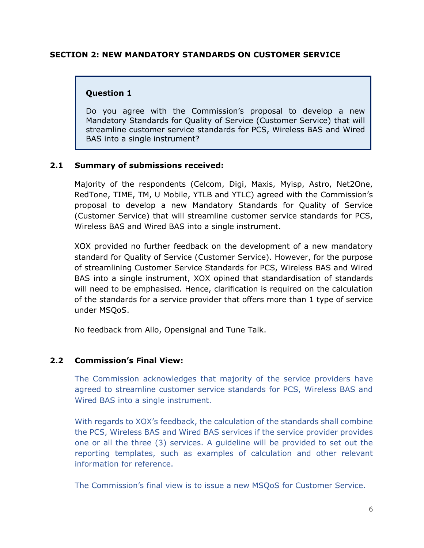#### **SECTION 2: NEW MANDATORY STANDARDS ON CUSTOMER SERVICE**

#### **Question 1**

Do you agree with the Commission's proposal to develop a new Mandatory Standards for Quality of Service (Customer Service) that will streamline customer service standards for PCS, Wireless BAS and Wired BAS into a single instrument?

#### **2.1 Summary of submissions received:**

Majority of the respondents (Celcom, Digi, Maxis, Myisp, Astro, Net2One, RedTone, TIME, TM, U Mobile, YTLB and YTLC) agreed with the Commission's proposal to develop a new Mandatory Standards for Quality of Service (Customer Service) that will streamline customer service standards for PCS, Wireless BAS and Wired BAS into a single instrument.

XOX provided no further feedback on the development of a new mandatory standard for Quality of Service (Customer Service). However, for the purpose of streamlining Customer Service Standards for PCS, Wireless BAS and Wired BAS into a single instrument, XOX opined that standardisation of standards will need to be emphasised. Hence, clarification is required on the calculation of the standards for a service provider that offers more than 1 type of service under MSQoS.

No feedback from Allo, Opensignal and Tune Talk.

#### **2.2 Commission's Final View:**

The Commission acknowledges that majority of the service providers have agreed to streamline customer service standards for PCS, Wireless BAS and Wired BAS into a single instrument.

With regards to XOX's feedback, the calculation of the standards shall combine the PCS, Wireless BAS and Wired BAS services if the service provider provides one or all the three (3) services. A guideline will be provided to set out the reporting templates, such as examples of calculation and other relevant information for reference.

The Commission's final view is to issue a new MSQoS for Customer Service.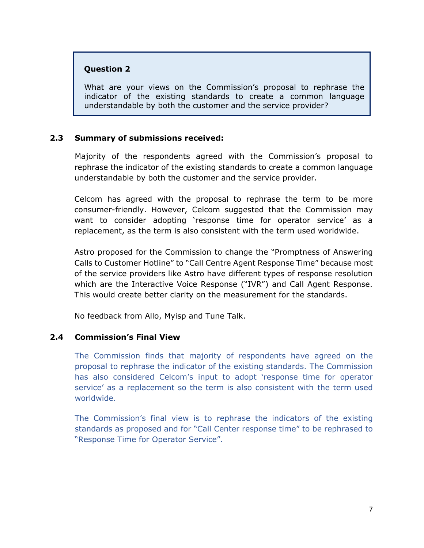#### **Question 2**

What are your views on the Commission's proposal to rephrase the indicator of the existing standards to create a common language understandable by both the customer and the service provider?

# **2.3 Summary of submissions received:**

Majority of the respondents agreed with the Commission's proposal to rephrase the indicator of the existing standards to create a common language understandable by both the customer and the service provider.

Celcom has agreed with the proposal to rephrase the term to be more consumer-friendly. However, Celcom suggested that the Commission may want to consider adopting 'response time for operator service' as a replacement, as the term is also consistent with the term used worldwide.

Astro proposed for the Commission to change the "Promptness of Answering Calls to Customer Hotline" to "Call Centre Agent Response Time" because most of the service providers like Astro have different types of response resolution which are the Interactive Voice Response ("IVR") and Call Agent Response. This would create better clarity on the measurement for the standards.

No feedback from Allo, Myisp and Tune Talk.

#### **2.4 Commission's Final View**

The Commission finds that majority of respondents have agreed on the proposal to rephrase the indicator of the existing standards. The Commission has also considered Celcom's input to adopt 'response time for operator service' as a replacement so the term is also consistent with the term used worldwide.

The Commission's final view is to rephrase the indicators of the existing standards as proposed and for "Call Center response time" to be rephrased to "Response Time for Operator Service".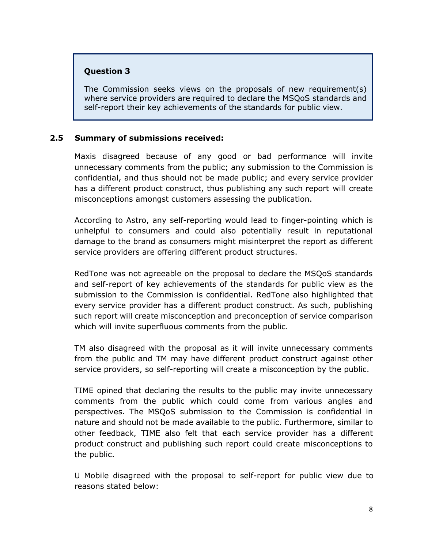# **Question 3**

The Commission seeks views on the proposals of new requirement(s) where service providers are required to declare the MSQoS standards and self-report their key achievements of the standards for public view.

#### **2.5 Summary of submissions received:**

Maxis disagreed because of any good or bad performance will invite unnecessary comments from the public; any submission to the Commission is confidential, and thus should not be made public; and every service provider has a different product construct, thus publishing any such report will create misconceptions amongst customers assessing the publication.

According to Astro, any self-reporting would lead to finger-pointing which is unhelpful to consumers and could also potentially result in reputational damage to the brand as consumers might misinterpret the report as different service providers are offering different product structures.

RedTone was not agreeable on the proposal to declare the MSQoS standards and self-report of key achievements of the standards for public view as the submission to the Commission is confidential. RedTone also highlighted that every service provider has a different product construct. As such, publishing such report will create misconception and preconception of service comparison which will invite superfluous comments from the public.

TM also disagreed with the proposal as it will invite unnecessary comments from the public and TM may have different product construct against other service providers, so self-reporting will create a misconception by the public.

TIME opined that declaring the results to the public may invite unnecessary comments from the public which could come from various angles and perspectives. The MSQoS submission to the Commission is confidential in nature and should not be made available to the public. Furthermore, similar to other feedback, TIME also felt that each service provider has a different product construct and publishing such report could create misconceptions to the public.

U Mobile disagreed with the proposal to self-report for public view due to reasons stated below: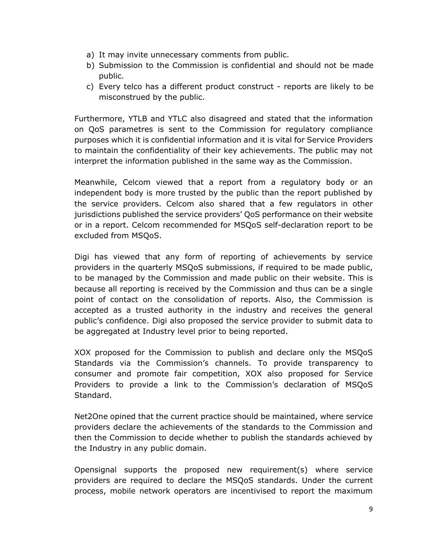- a) It may invite unnecessary comments from public.
- b) Submission to the Commission is confidential and should not be made public.
- c) Every telco has a different product construct reports are likely to be misconstrued by the public.

Furthermore, YTLB and YTLC also disagreed and stated that the information on QoS parametres is sent to the Commission for regulatory compliance purposes which it is confidential information and it is vital for Service Providers to maintain the confidentiality of their key achievements. The public may not interpret the information published in the same way as the Commission.

Meanwhile, Celcom viewed that a report from a regulatory body or an independent body is more trusted by the public than the report published by the service providers. Celcom also shared that a few regulators in other jurisdictions published the service providers' QoS performance on their website or in a report. Celcom recommended for MSQoS self-declaration report to be excluded from MSQoS.

Digi has viewed that any form of reporting of achievements by service providers in the quarterly MSQoS submissions, if required to be made public, to be managed by the Commission and made public on their website. This is because all reporting is received by the Commission and thus can be a single point of contact on the consolidation of reports. Also, the Commission is accepted as a trusted authority in the industry and receives the general public's confidence. Digi also proposed the service provider to submit data to be aggregated at Industry level prior to being reported.

XOX proposed for the Commission to publish and declare only the MSQoS Standards via the Commission's channels. To provide transparency to consumer and promote fair competition, XOX also proposed for Service Providers to provide a link to the Commission's declaration of MSQoS Standard.

Net2One opined that the current practice should be maintained, where service providers declare the achievements of the standards to the Commission and then the Commission to decide whether to publish the standards achieved by the Industry in any public domain.

Opensignal supports the proposed new requirement(s) where service providers are required to declare the MSQoS standards. Under the current process, mobile network operators are incentivised to report the maximum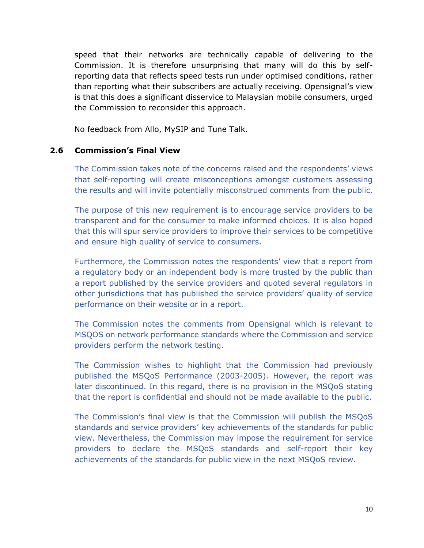speed that their networks are technically capable of delivering to the Commission. It is therefore unsurprising that many will do this by selfreporting data that reflects speed tests run under optimised conditions, rather than reporting what their subscribers are actually receiving. Opensignal's view is that this does a significant disservice to Malaysian mobile consumers, urged the Commission to reconsider this approach.

No feedback from Allo, MySIP and Tune Talk.

#### **2.6 Commission's Final View**

The Commission takes note of the concerns raised and the respondents' views that self-reporting will create misconceptions amongst customers assessing the results and will invite potentially misconstrued comments from the public.

The purpose of this new requirement is to encourage service providers to be transparent and for the consumer to make informed choices. It is also hoped that this will spur service providers to improve their services to be competitive and ensure high quality of service to consumers.

Furthermore, the Commission notes the respondents' view that a report from a regulatory body or an independent body is more trusted by the public than a report published by the service providers and quoted several regulators in other jurisdictions that has published the service providers' quality of service performance on their website or in a report.

The Commission notes the comments from Opensignal which is relevant to MSQOS on network performance standards where the Commission and service providers perform the network testing.

The Commission wishes to highlight that the Commission had previously published the MSQoS Performance (2003-2005). However, the report was later discontinued. In this regard, there is no provision in the MSQoS stating that the report is confidential and should not be made available to the public.

The Commission's final view is that the Commission will publish the MSQoS standards and service providers' key achievements of the standards for public view. Nevertheless, the Commission may impose the requirement for service providers to declare the MSQoS standards and self-report their key achievements of the standards for public view in the next MSQoS review.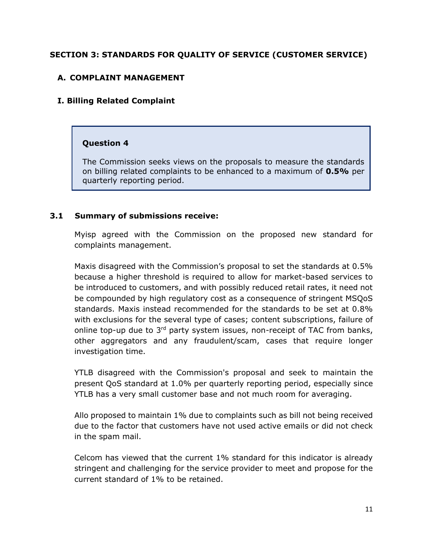# **SECTION 3: STANDARDS FOR QUALITY OF SERVICE (CUSTOMER SERVICE)**

# **A. COMPLAINT MANAGEMENT**

#### **I. Billing Related Complaint**

#### **Question 4**

The Commission seeks views on the proposals to measure the standards on billing related complaints to be enhanced to a maximum of **0.5%** per quarterly reporting period.

#### **3.1 Summary of submissions receive:**

Myisp agreed with the Commission on the proposed new standard for complaints management.

Maxis disagreed with the Commission's proposal to set the standards at 0.5% because a higher threshold is required to allow for market-based services to be introduced to customers, and with possibly reduced retail rates, it need not be compounded by high regulatory cost as a consequence of stringent MSQoS standards. Maxis instead recommended for the standards to be set at 0.8% with exclusions for the several type of cases; content subscriptions, failure of online top-up due to 3<sup>rd</sup> party system issues, non-receipt of TAC from banks, other aggregators and any fraudulent/scam, cases that require longer investigation time.

YTLB disagreed with the Commission's proposal and seek to maintain the present QoS standard at 1.0% per quarterly reporting period, especially since YTLB has a very small customer base and not much room for averaging.

Allo proposed to maintain 1% due to complaints such as bill not being received due to the factor that customers have not used active emails or did not check in the spam mail.

Celcom has viewed that the current 1% standard for this indicator is already stringent and challenging for the service provider to meet and propose for the current standard of 1% to be retained.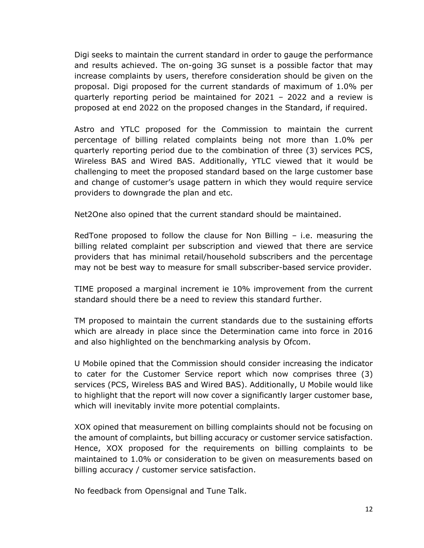Digi seeks to maintain the current standard in order to gauge the performance and results achieved. The on-going 3G sunset is a possible factor that may increase complaints by users, therefore consideration should be given on the proposal. Digi proposed for the current standards of maximum of 1.0% per quarterly reporting period be maintained for 2021 – 2022 and a review is proposed at end 2022 on the proposed changes in the Standard, if required.

Astro and YTLC proposed for the Commission to maintain the current percentage of billing related complaints being not more than 1.0% per quarterly reporting period due to the combination of three (3) services PCS, Wireless BAS and Wired BAS. Additionally, YTLC viewed that it would be challenging to meet the proposed standard based on the large customer base and change of customer's usage pattern in which they would require service providers to downgrade the plan and etc.

Net2One also opined that the current standard should be maintained.

RedTone proposed to follow the clause for Non Billing – i.e. measuring the billing related complaint per subscription and viewed that there are service providers that has minimal retail/household subscribers and the percentage may not be best way to measure for small subscriber-based service provider.

TIME proposed a marginal increment ie 10% improvement from the current standard should there be a need to review this standard further.

TM proposed to maintain the current standards due to the sustaining efforts which are already in place since the Determination came into force in 2016 and also highlighted on the benchmarking analysis by Ofcom.

U Mobile opined that the Commission should consider increasing the indicator to cater for the Customer Service report which now comprises three (3) services (PCS, Wireless BAS and Wired BAS). Additionally, U Mobile would like to highlight that the report will now cover a significantly larger customer base, which will inevitably invite more potential complaints.

XOX opined that measurement on billing complaints should not be focusing on the amount of complaints, but billing accuracy or customer service satisfaction. Hence, XOX proposed for the requirements on billing complaints to be maintained to 1.0% or consideration to be given on measurements based on billing accuracy / customer service satisfaction.

No feedback from Opensignal and Tune Talk.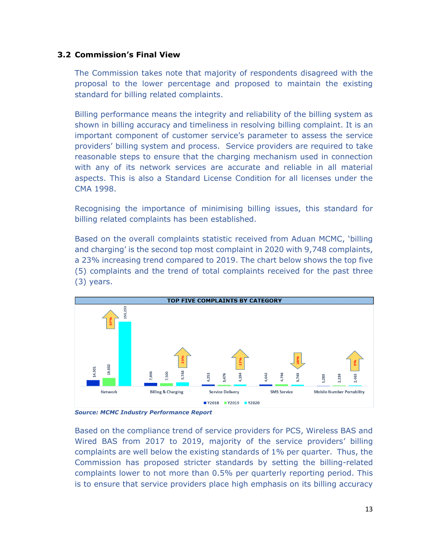#### **3.2 Commission's Final View**

The Commission takes note that majority of respondents disagreed with the proposal to the lower percentage and proposed to maintain the existing standard for billing related complaints.

Billing performance means the integrity and reliability of the billing system as shown in billing accuracy and timeliness in resolving billing complaint. It is an important component of customer service's parameter to assess the service providers' billing system and process. Service providers are required to take reasonable steps to ensure that the charging mechanism used in connection with any of its network services are accurate and reliable in all material aspects. This is also a Standard License Condition for all licenses under the CMA 1998.

Recognising the importance of minimising billing issues, this standard for billing related complaints has been established.

Based on the overall complaints statistic received from Aduan MCMC, 'billing and charging' is the second top most complaint in 2020 with 9,748 complaints, a 23% increasing trend compared to 2019. The chart below shows the top five (5) complaints and the trend of total complaints received for the past three (3) years.



*Source: MCMC Industry Performance Report*

Based on the compliance trend of service providers for PCS, Wireless BAS and Wired BAS from 2017 to 2019, majority of the service providers' billing complaints are well below the existing standards of 1% per quarter. Thus, the Commission has proposed stricter standards by setting the billing-related complaints lower to not more than 0.5% per quarterly reporting period. This is to ensure that service providers place high emphasis on its billing accuracy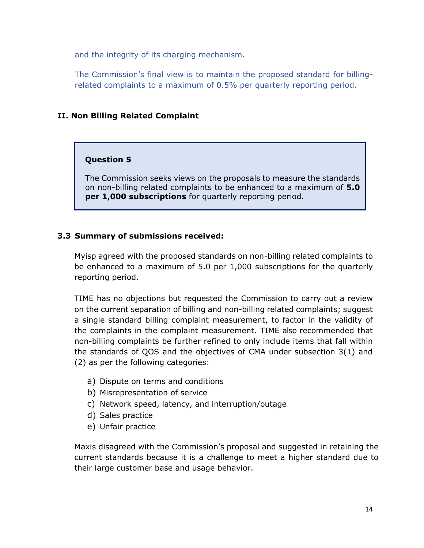and the integrity of its charging mechanism.

The Commission's final view is to maintain the proposed standard for billingrelated complaints to a maximum of 0.5% per quarterly reporting period.

# **II. Non Billing Related Complaint**

#### **Question 5**

The Commission seeks views on the proposals to measure the standards on non-billing related complaints to be enhanced to a maximum of **5.0 per 1,000 subscriptions** for quarterly reporting period.

# **3.3 Summary of submissions received:**

Myisp agreed with the proposed standards on non-billing related complaints to be enhanced to a maximum of 5.0 per 1,000 subscriptions for the quarterly reporting period.

TIME has no objections but requested the Commission to carry out a review on the current separation of billing and non-billing related complaints; suggest a single standard billing complaint measurement, to factor in the validity of the complaints in the complaint measurement. TIME also recommended that non-billing complaints be further refined to only include items that fall within the standards of QOS and the objectives of CMA under subsection 3(1) and (2) as per the following categories:

- a) Dispute on terms and conditions
- b) Misrepresentation of service
- c) Network speed, latency, and interruption/outage
- d) Sales practice
- e) Unfair practice

Maxis disagreed with the Commission's proposal and suggested in retaining the current standards because it is a challenge to meet a higher standard due to their large customer base and usage behavior.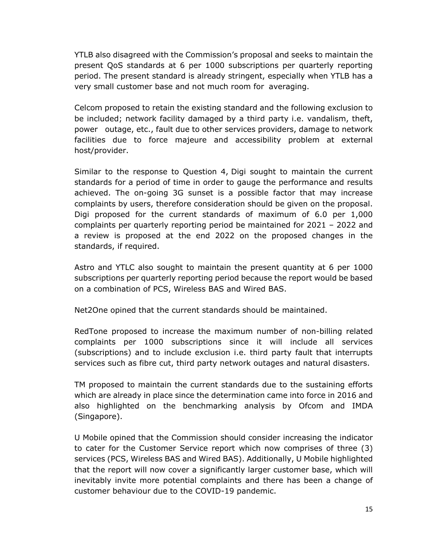YTLB also disagreed with the Commission's proposal and seeks to maintain the present QoS standards at 6 per 1000 subscriptions per quarterly reporting period. The present standard is already stringent, especially when YTLB has a very small customer base and not much room for averaging.

Celcom proposed to retain the existing standard and the following exclusion to be included; network facility damaged by a third party i.e. vandalism, theft, power outage, etc., fault due to other services providers, damage to network facilities due to force majeure and accessibility problem at external host/provider.

Similar to the response to Question 4, Digi sought to maintain the current standards for a period of time in order to gauge the performance and results achieved. The on-going 3G sunset is a possible factor that may increase complaints by users, therefore consideration should be given on the proposal. Digi proposed for the current standards of maximum of 6.0 per 1,000 complaints per quarterly reporting period be maintained for 2021 – 2022 and a review is proposed at the end 2022 on the proposed changes in the standards, if required.

Astro and YTLC also sought to maintain the present quantity at 6 per 1000 subscriptions per quarterly reporting period because the report would be based on a combination of PCS, Wireless BAS and Wired BAS.

Net2One opined that the current standards should be maintained.

RedTone proposed to increase the maximum number of non-billing related complaints per 1000 subscriptions since it will include all services (subscriptions) and to include exclusion i.e. third party fault that interrupts services such as fibre cut, third party network outages and natural disasters.

TM proposed to maintain the current standards due to the sustaining efforts which are already in place since the determination came into force in 2016 and also highlighted on the benchmarking analysis by Ofcom and IMDA (Singapore).

U Mobile opined that the Commission should consider increasing the indicator to cater for the Customer Service report which now comprises of three (3) services (PCS, Wireless BAS and Wired BAS). Additionally, U Mobile highlighted that the report will now cover a significantly larger customer base, which will inevitably invite more potential complaints and there has been a change of customer behaviour due to the COVID-19 pandemic.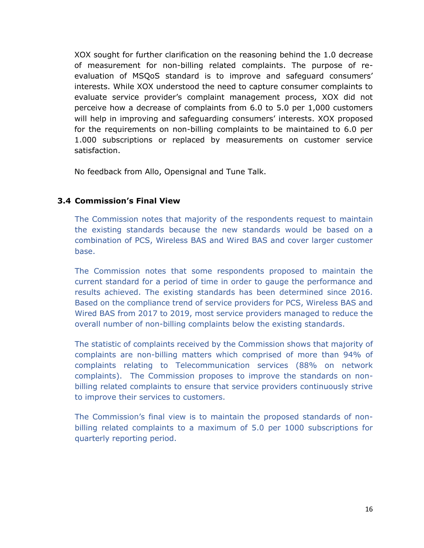XOX sought for further clarification on the reasoning behind the 1.0 decrease of measurement for non-billing related complaints. The purpose of reevaluation of MSQoS standard is to improve and safeguard consumers' interests. While XOX understood the need to capture consumer complaints to evaluate service provider's complaint management process, XOX did not perceive how a decrease of complaints from 6.0 to 5.0 per 1,000 customers will help in improving and safeguarding consumers' interests. XOX proposed for the requirements on non-billing complaints to be maintained to 6.0 per 1.000 subscriptions or replaced by measurements on customer service satisfaction.

No feedback from Allo, Opensignal and Tune Talk.

#### **3.4 Commission's Final View**

The Commission notes that majority of the respondents request to maintain the existing standards because the new standards would be based on a combination of PCS, Wireless BAS and Wired BAS and cover larger customer base.

The Commission notes that some respondents proposed to maintain the current standard for a period of time in order to gauge the performance and results achieved. The existing standards has been determined since 2016. Based on the compliance trend of service providers for PCS, Wireless BAS and Wired BAS from 2017 to 2019, most service providers managed to reduce the overall number of non-billing complaints below the existing standards.

The statistic of complaints received by the Commission shows that majority of complaints are non-billing matters which comprised of more than 94% of complaints relating to Telecommunication services (88% on network complaints). The Commission proposes to improve the standards on nonbilling related complaints to ensure that service providers continuously strive to improve their services to customers.

The Commission's final view is to maintain the proposed standards of nonbilling related complaints to a maximum of 5.0 per 1000 subscriptions for quarterly reporting period.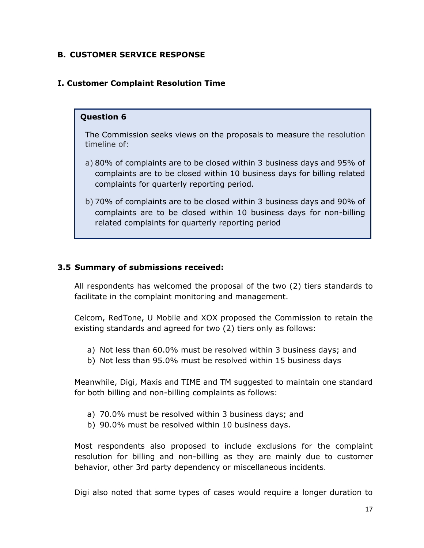# **B. CUSTOMER SERVICE RESPONSE**

# **I. Customer Complaint Resolution Time**

#### **Question 6**

The Commission seeks views on the proposals to measure the resolution timeline of:

- a) 80% of complaints are to be closed within 3 business days and 95% of complaints are to be closed within 10 business days for billing related complaints for quarterly reporting period.
- b) 70% of complaints are to be closed within 3 business days and 90% of complaints are to be closed within 10 business days for non-billing related complaints for quarterly reporting period

#### **3.5 Summary of submissions received:**

All respondents has welcomed the proposal of the two (2) tiers standards to facilitate in the complaint monitoring and management.

Celcom, RedTone, U Mobile and XOX proposed the Commission to retain the existing standards and agreed for two (2) tiers only as follows:

- a) Not less than 60.0% must be resolved within 3 business days; and
- b) Not less than 95.0% must be resolved within 15 business days

Meanwhile, Digi, Maxis and TIME and TM suggested to maintain one standard for both billing and non-billing complaints as follows:

- a) 70.0% must be resolved within 3 business days; and
- b) 90.0% must be resolved within 10 business days.

Most respondents also proposed to include exclusions for the complaint resolution for billing and non-billing as they are mainly due to customer behavior, other 3rd party dependency or miscellaneous incidents.

Digi also noted that some types of cases would require a longer duration to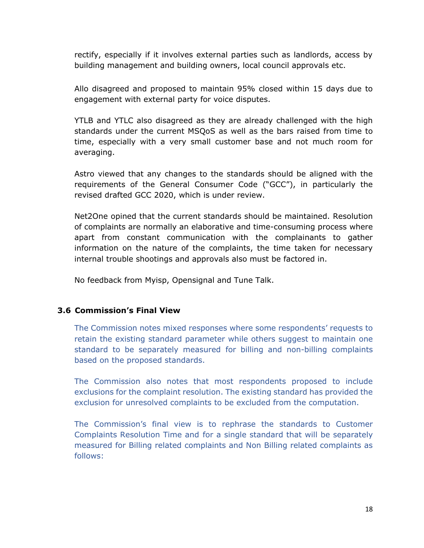rectify, especially if it involves external parties such as landlords, access by building management and building owners, local council approvals etc.

Allo disagreed and proposed to maintain 95% closed within 15 days due to engagement with external party for voice disputes.

YTLB and YTLC also disagreed as they are already challenged with the high standards under the current MSQoS as well as the bars raised from time to time, especially with a very small customer base and not much room for averaging.

Astro viewed that any changes to the standards should be aligned with the requirements of the General Consumer Code ("GCC"), in particularly the revised drafted GCC 2020, which is under review.

Net2One opined that the current standards should be maintained. Resolution of complaints are normally an elaborative and time-consuming process where apart from constant communication with the complainants to gather information on the nature of the complaints, the time taken for necessary internal trouble shootings and approvals also must be factored in.

No feedback from Myisp, Opensignal and Tune Talk.

#### **3.6 Commission's Final View**

The Commission notes mixed responses where some respondents' requests to retain the existing standard parameter while others suggest to maintain one standard to be separately measured for billing and non-billing complaints based on the proposed standards.

The Commission also notes that most respondents proposed to include exclusions for the complaint resolution. The existing standard has provided the exclusion for unresolved complaints to be excluded from the computation.

The Commission's final view is to rephrase the standards to Customer Complaints Resolution Time and for a single standard that will be separately measured for Billing related complaints and Non Billing related complaints as follows: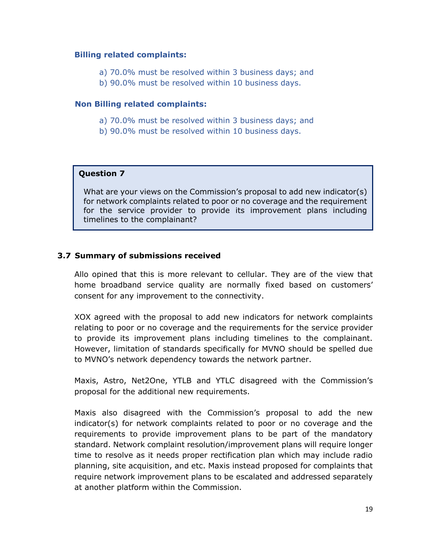#### **Billing related complaints:**

- a) 70.0% must be resolved within 3 business days; and
- b) 90.0% must be resolved within 10 business days.

#### **Non Billing related complaints:**

- a) 70.0% must be resolved within 3 business days; and
- b) 90.0% must be resolved within 10 business days.

#### **Question 7**

What are your views on the Commission's proposal to add new indicator(s) for network complaints related to poor or no coverage and the requirement for the service provider to provide its improvement plans including timelines to the complainant?

#### **3.7 Summary of submissions received**

Allo opined that this is more relevant to cellular. They are of the view that home broadband service quality are normally fixed based on customers' consent for any improvement to the connectivity.

XOX agreed with the proposal to add new indicators for network complaints relating to poor or no coverage and the requirements for the service provider to provide its improvement plans including timelines to the complainant. However, limitation of standards specifically for MVNO should be spelled due to MVNO's network dependency towards the network partner.

Maxis, Astro, Net2One, YTLB and YTLC disagreed with the Commission's proposal for the additional new requirements.

Maxis also disagreed with the Commission's proposal to add the new indicator(s) for network complaints related to poor or no coverage and the requirements to provide improvement plans to be part of the mandatory standard. Network complaint resolution/improvement plans will require longer time to resolve as it needs proper rectification plan which may include radio planning, site acquisition, and etc. Maxis instead proposed for complaints that require network improvement plans to be escalated and addressed separately at another platform within the Commission.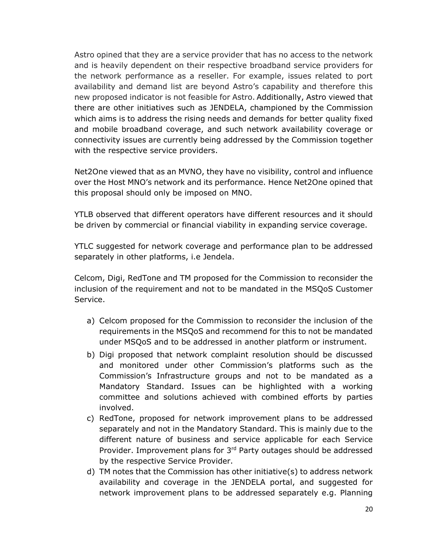Astro opined that they are a service provider that has no access to the network and is heavily dependent on their respective broadband service providers for the network performance as a reseller. For example, issues related to port availability and demand list are beyond Astro's capability and therefore this new proposed indicator is not feasible for Astro. Additionally, Astro viewed that there are other initiatives such as JENDELA, championed by the Commission which aims is to address the rising needs and demands for better quality fixed and mobile broadband coverage, and such network availability coverage or connectivity issues are currently being addressed by the Commission together with the respective service providers.

Net2One viewed that as an MVNO, they have no visibility, control and influence over the Host MNO's network and its performance. Hence Net2One opined that this proposal should only be imposed on MNO.

YTLB observed that different operators have different resources and it should be driven by commercial or financial viability in expanding service coverage.

YTLC suggested for network coverage and performance plan to be addressed separately in other platforms, i.e Jendela.

Celcom, Digi, RedTone and TM proposed for the Commission to reconsider the inclusion of the requirement and not to be mandated in the MSQoS Customer Service.

- a) Celcom proposed for the Commission to reconsider the inclusion of the requirements in the MSQoS and recommend for this to not be mandated under MSQoS and to be addressed in another platform or instrument.
- b) Digi proposed that network complaint resolution should be discussed and monitored under other Commission's platforms such as the Commission's Infrastructure groups and not to be mandated as a Mandatory Standard. Issues can be highlighted with a working committee and solutions achieved with combined efforts by parties involved.
- c) RedTone, proposed for network improvement plans to be addressed separately and not in the Mandatory Standard. This is mainly due to the different nature of business and service applicable for each Service Provider. Improvement plans for 3rd Party outages should be addressed by the respective Service Provider.
- d) TM notes that the Commission has other initiative(s) to address network availability and coverage in the JENDELA portal, and suggested for network improvement plans to be addressed separately e.g. Planning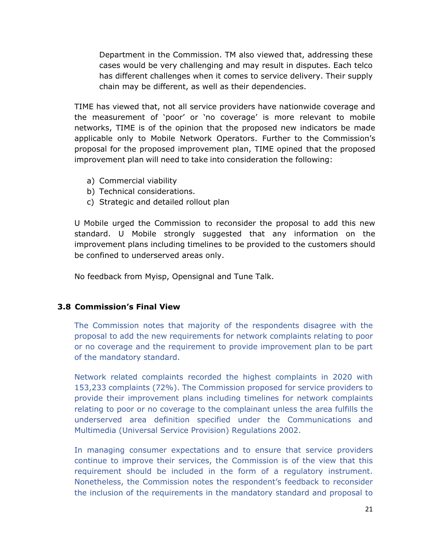Department in the Commission. TM also viewed that, addressing these cases would be very challenging and may result in disputes. Each telco has different challenges when it comes to service delivery. Their supply chain may be different, as well as their dependencies.

TIME has viewed that, not all service providers have nationwide coverage and the measurement of 'poor' or 'no coverage' is more relevant to mobile networks, TIME is of the opinion that the proposed new indicators be made applicable only to Mobile Network Operators. Further to the Commission's proposal for the proposed improvement plan, TIME opined that the proposed improvement plan will need to take into consideration the following:

- a) Commercial viability
- b) Technical considerations.
- c) Strategic and detailed rollout plan

U Mobile urged the Commission to reconsider the proposal to add this new standard. U Mobile strongly suggested that any information on the improvement plans including timelines to be provided to the customers should be confined to underserved areas only.

No feedback from Myisp, Opensignal and Tune Talk.

#### **3.8 Commission's Final View**

The Commission notes that majority of the respondents disagree with the proposal to add the new requirements for network complaints relating to poor or no coverage and the requirement to provide improvement plan to be part of the mandatory standard.

Network related complaints recorded the highest complaints in 2020 with 153,233 complaints (72%). The Commission proposed for service providers to provide their improvement plans including timelines for network complaints relating to poor or no coverage to the complainant unless the area fulfills the underserved area definition specified under the Communications and Multimedia (Universal Service Provision) Regulations 2002.

In managing consumer expectations and to ensure that service providers continue to improve their services, the Commission is of the view that this requirement should be included in the form of a regulatory instrument. Nonetheless, the Commission notes the respondent's feedback to reconsider the inclusion of the requirements in the mandatory standard and proposal to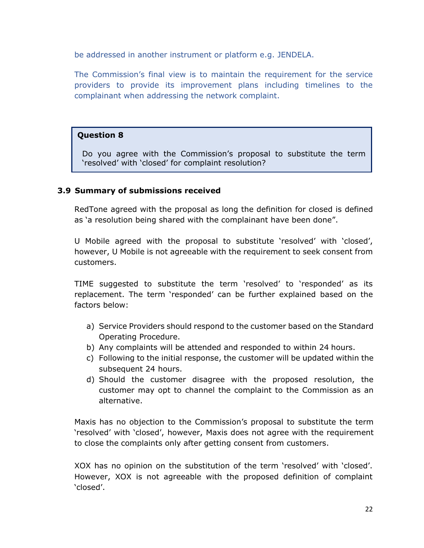be addressed in another instrument or platform e.g. JENDELA.

The Commission's final view is to maintain the requirement for the service providers to provide its improvement plans including timelines to the complainant when addressing the network complaint.

#### **Question 8**

Do you agree with the Commission's proposal to substitute the term 'resolved' with 'closed' for complaint resolution?

#### **3.9 Summary of submissions received**

RedTone agreed with the proposal as long the definition for closed is defined as 'a resolution being shared with the complainant have been done".

U Mobile agreed with the proposal to substitute 'resolved' with 'closed', however, U Mobile is not agreeable with the requirement to seek consent from customers.

TIME suggested to substitute the term 'resolved' to 'responded' as its replacement. The term 'responded' can be further explained based on the factors below:

- a) Service Providers should respond to the customer based on the Standard Operating Procedure.
- b) Any complaints will be attended and responded to within 24 hours.
- c) Following to the initial response, the customer will be updated within the subsequent 24 hours.
- d) Should the customer disagree with the proposed resolution, the customer may opt to channel the complaint to the Commission as an alternative.

Maxis has no objection to the Commission's proposal to substitute the term 'resolved' with 'closed', however, Maxis does not agree with the requirement to close the complaints only after getting consent from customers.

XOX has no opinion on the substitution of the term 'resolved' with 'closed'. However, XOX is not agreeable with the proposed definition of complaint 'closed'.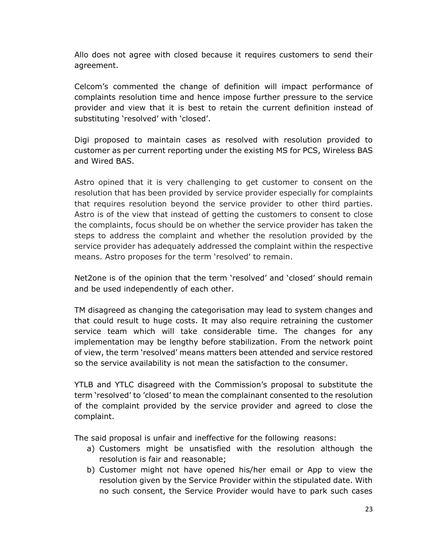Allo does not agree with closed because it requires customers to send their agreement.

Celcom's commented the change of definition will impact performance of complaints resolution time and hence impose further pressure to the service provider and view that it is best to retain the current definition instead of substituting 'resolved' with 'closed'.

Digi proposed to maintain cases as resolved with resolution provided to customer as per current reporting under the existing MS for PCS, Wireless BAS and Wired BAS.

Astro opined that it is very challenging to get customer to consent on the resolution that has been provided by service provider especially for complaints that requires resolution beyond the service provider to other third parties. Astro is of the view that instead of getting the customers to consent to close the complaints, focus should be on whether the service provider has taken the steps to address the complaint and whether the resolution provided by the service provider has adequately addressed the complaint within the respective means. Astro proposes for the term 'resolved' to remain.

Net2one is of the opinion that the term 'resolved' and 'closed' should remain and be used independently of each other.

TM disagreed as changing the categorisation may lead to system changes and that could result to huge costs. It may also require retraining the customer service team which will take considerable time. The changes for any implementation may be lengthy before stabilization. From the network point of view, the term 'resolved' means matters been attended and service restored so the service availability is not mean the satisfaction to the consumer.

YTLB and YTLC disagreed with the Commission's proposal to substitute the term 'resolved' to 'closed' to mean the complainant consented to the resolution of the complaint provided by the service provider and agreed to close the complaint.

The said proposal is unfair and ineffective for the following reasons:

- a) Customers might be unsatisfied with the resolution although the resolution is fair and reasonable;
- b) Customer might not have opened his/her email or App to view the resolution given by the Service Provider within the stipulated date. With no such consent, the Service Provider would have to park such cases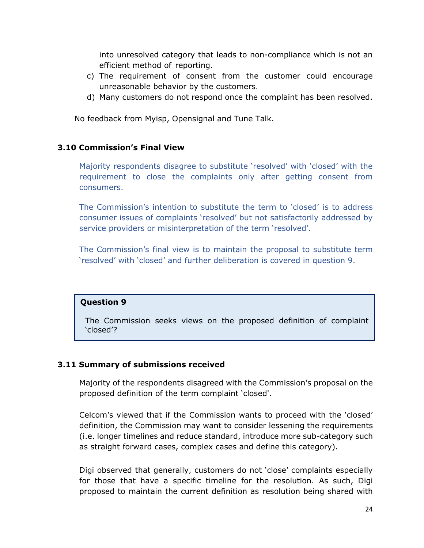into unresolved category that leads to non-compliance which is not an efficient method of reporting.

- c) The requirement of consent from the customer could encourage unreasonable behavior by the customers.
- d) Many customers do not respond once the complaint has been resolved.

No feedback from Myisp, Opensignal and Tune Talk.

# **3.10 Commission's Final View**

Majority respondents disagree to substitute 'resolved' with 'closed' with the requirement to close the complaints only after getting consent from consumers.

The Commission's intention to substitute the term to 'closed' is to address consumer issues of complaints 'resolved' but not satisfactorily addressed by service providers or misinterpretation of the term 'resolved'.

The Commission's final view is to maintain the proposal to substitute term 'resolved' with 'closed' and further deliberation is covered in question 9.

#### **Question 9**

The Commission seeks views on the proposed definition of complaint 'closed'?

#### **3.11 Summary of submissions received**

Majority of the respondents disagreed with the Commission's proposal on the proposed definition of the term complaint 'closed'.

Celcom's viewed that if the Commission wants to proceed with the 'closed' definition, the Commission may want to consider lessening the requirements (i.e. longer timelines and reduce standard, introduce more sub-category such as straight forward cases, complex cases and define this category).

Digi observed that generally, customers do not 'close' complaints especially for those that have a specific timeline for the resolution. As such, Digi proposed to maintain the current definition as resolution being shared with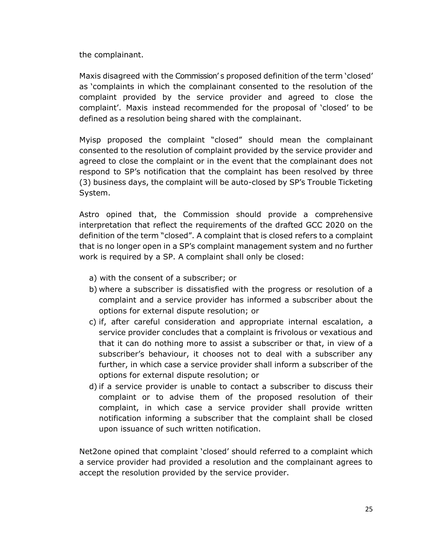the complainant.

Maxis disagreed with the Commission' s proposed definition of the term 'closed' as 'complaints in which the complainant consented to the resolution of the complaint provided by the service provider and agreed to close the complaint'. Maxis instead recommended for the proposal of 'closed' to be defined as a resolution being shared with the complainant.

Myisp proposed the complaint "closed" should mean the complainant consented to the resolution of complaint provided by the service provider and agreed to close the complaint or in the event that the complainant does not respond to SP's notification that the complaint has been resolved by three (3) business days, the complaint will be auto-closed by SP's Trouble Ticketing System.

Astro opined that, the Commission should provide a comprehensive interpretation that reflect the requirements of the drafted GCC 2020 on the definition of the term "closed". A complaint that is closed refers to a complaint that is no longer open in a SP's complaint management system and no further work is required by a SP. A complaint shall only be closed:

- a) with the consent of a subscriber; or
- b) where a subscriber is dissatisfied with the progress or resolution of a complaint and a service provider has informed a subscriber about the options for external dispute resolution; or
- c) if, after careful consideration and appropriate internal escalation, a service provider concludes that a complaint is frivolous or vexatious and that it can do nothing more to assist a subscriber or that, in view of a subscriber's behaviour, it chooses not to deal with a subscriber any further, in which case a service provider shall inform a subscriber of the options for external dispute resolution; or
- d) if a service provider is unable to contact a subscriber to discuss their complaint or to advise them of the proposed resolution of their complaint, in which case a service provider shall provide written notification informing a subscriber that the complaint shall be closed upon issuance of such written notification.

Net2one opined that complaint 'closed' should referred to a complaint which a service provider had provided a resolution and the complainant agrees to accept the resolution provided by the service provider.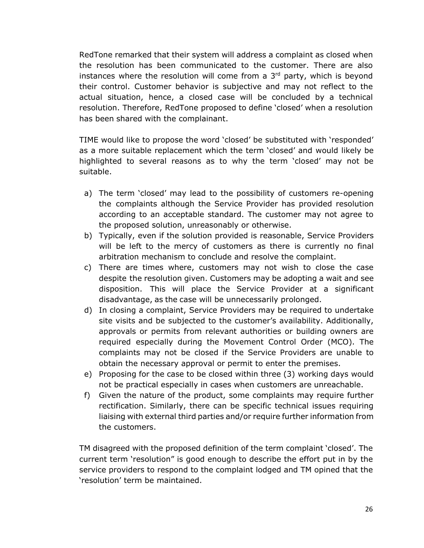RedTone remarked that their system will address a complaint as closed when the resolution has been communicated to the customer. There are also instances where the resolution will come from a 3<sup>rd</sup> party, which is beyond their control. Customer behavior is subjective and may not reflect to the actual situation, hence, a closed case will be concluded by a technical resolution. Therefore, RedTone proposed to define 'closed' when a resolution has been shared with the complainant.

TIME would like to propose the word 'closed' be substituted with 'responded' as a more suitable replacement which the term 'closed' and would likely be highlighted to several reasons as to why the term 'closed' may not be suitable.

- a) The term 'closed' may lead to the possibility of customers re-opening the complaints although the Service Provider has provided resolution according to an acceptable standard. The customer may not agree to the proposed solution, unreasonably or otherwise.
- b) Typically, even if the solution provided is reasonable, Service Providers will be left to the mercy of customers as there is currently no final arbitration mechanism to conclude and resolve the complaint.
- c) There are times where, customers may not wish to close the case despite the resolution given. Customers may be adopting a wait and see disposition. This will place the Service Provider at a significant disadvantage, as the case will be unnecessarily prolonged.
- d) In closing a complaint, Service Providers may be required to undertake site visits and be subjected to the customer's availability. Additionally, approvals or permits from relevant authorities or building owners are required especially during the Movement Control Order (MCO). The complaints may not be closed if the Service Providers are unable to obtain the necessary approval or permit to enter the premises.
- e) Proposing for the case to be closed within three (3) working days would not be practical especially in cases when customers are unreachable.
- f) Given the nature of the product, some complaints may require further rectification. Similarly, there can be specific technical issues requiring liaising with external third parties and/or require further information from the customers.

TM disagreed with the proposed definition of the term complaint 'closed'. The current term 'resolution" is good enough to describe the effort put in by the service providers to respond to the complaint lodged and TM opined that the 'resolution' term be maintained.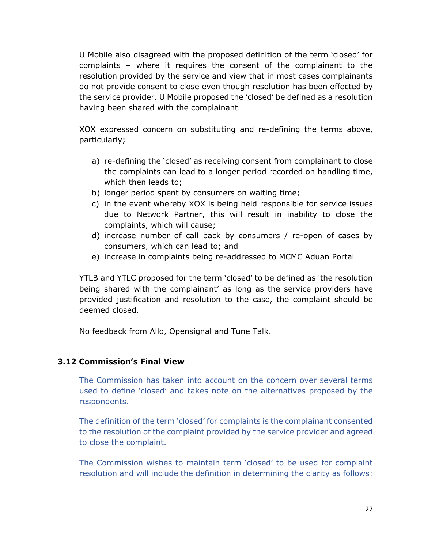U Mobile also disagreed with the proposed definition of the term 'closed' for complaints – where it requires the consent of the complainant to the resolution provided by the service and view that in most cases complainants do not provide consent to close even though resolution has been effected by the service provider. U Mobile proposed the 'closed' be defined as a resolution having been shared with the complainant.

XOX expressed concern on substituting and re-defining the terms above, particularly;

- a) re-defining the 'closed' as receiving consent from complainant to close the complaints can lead to a longer period recorded on handling time, which then leads to;
- b) longer period spent by consumers on waiting time;
- c) in the event whereby XOX is being held responsible for service issues due to Network Partner, this will result in inability to close the complaints, which will cause;
- d) increase number of call back by consumers / re-open of cases by consumers, which can lead to; and
- e) increase in complaints being re-addressed to MCMC Aduan Portal

YTLB and YTLC proposed for the term 'closed' to be defined as 'the resolution being shared with the complainant' as long as the service providers have provided justification and resolution to the case, the complaint should be deemed closed.

No feedback from Allo, Opensignal and Tune Talk.

#### **3.12 Commission's Final View**

The Commission has taken into account on the concern over several terms used to define 'closed' and takes note on the alternatives proposed by the respondents.

The definition of the term 'closed' for complaints is the complainant consented to the resolution of the complaint provided by the service provider and agreed to close the complaint.

The Commission wishes to maintain term 'closed' to be used for complaint resolution and will include the definition in determining the clarity as follows: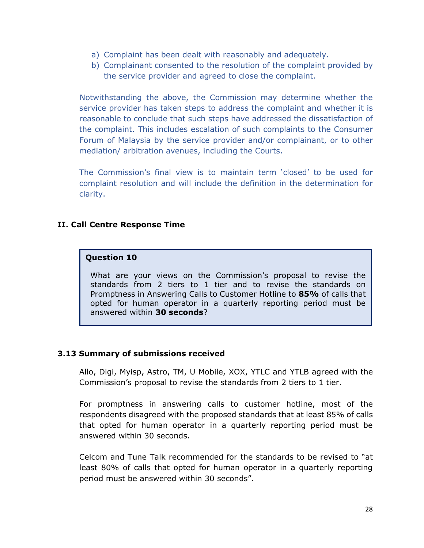- a) Complaint has been dealt with reasonably and adequately.
- b) Complainant consented to the resolution of the complaint provided by the service provider and agreed to close the complaint.

Notwithstanding the above, the Commission may determine whether the service provider has taken steps to address the complaint and whether it is reasonable to conclude that such steps have addressed the dissatisfaction of the complaint. This includes escalation of such complaints to the Consumer Forum of Malaysia by the service provider and/or complainant, or to other mediation/ arbitration avenues, including the Courts.

The Commission's final view is to maintain term 'closed' to be used for complaint resolution and will include the definition in the determination for clarity.

# **II. Call Centre Response Time**

#### **Question 10**

What are your views on the Commission's proposal to revise the standards from 2 tiers to 1 tier and to revise the standards on Promptness in Answering Calls to Customer Hotline to **85%** of calls that opted for human operator in a quarterly reporting period must be answered within **30 seconds**?

#### **3.13 Summary of submissions received**

Allo, Digi, Myisp, Astro, TM, U Mobile, XOX, YTLC and YTLB agreed with the Commission's proposal to revise the standards from 2 tiers to 1 tier.

For promptness in answering calls to customer hotline, most of the respondents disagreed with the proposed standards that at least 85% of calls that opted for human operator in a quarterly reporting period must be answered within 30 seconds.

Celcom and Tune Talk recommended for the standards to be revised to "at least 80% of calls that opted for human operator in a quarterly reporting period must be answered within 30 seconds".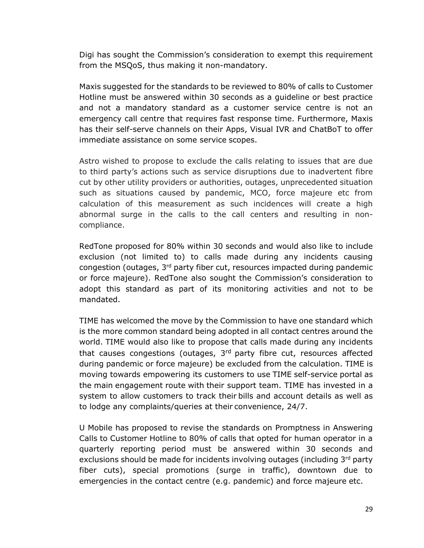Digi has sought the Commission's consideration to exempt this requirement from the MSQoS, thus making it non-mandatory.

Maxis suggested for the standards to be reviewed to 80% of calls to Customer Hotline must be answered within 30 seconds as a guideline or best practice and not a mandatory standard as a customer service centre is not an emergency call centre that requires fast response time. Furthermore, Maxis has their self-serve channels on their Apps, Visual IVR and ChatBoT to offer immediate assistance on some service scopes.

Astro wished to propose to exclude the calls relating to issues that are due to third party's actions such as service disruptions due to inadvertent fibre cut by other utility providers or authorities, outages, unprecedented situation such as situations caused by pandemic, MCO, force majeure etc from calculation of this measurement as such incidences will create a high abnormal surge in the calls to the call centers and resulting in noncompliance.

RedTone proposed for 80% within 30 seconds and would also like to include exclusion (not limited to) to calls made during any incidents causing congestion (outages, 3rd party fiber cut, resources impacted during pandemic or force majeure). RedTone also sought the Commission's consideration to adopt this standard as part of its monitoring activities and not to be mandated.

TIME has welcomed the move by the Commission to have one standard which is the more common standard being adopted in all contact centres around the world. TIME would also like to propose that calls made during any incidents that causes congestions (outages,  $3<sup>rd</sup>$  party fibre cut, resources affected during pandemic or force majeure) be excluded from the calculation. TIME is moving towards empowering its customers to use TIME self-service portal as the main engagement route with their support team. TIME has invested in a system to allow customers to track their bills and account details as well as to lodge any complaints/queries at their convenience, 24/7.

U Mobile has proposed to revise the standards on Promptness in Answering Calls to Customer Hotline to 80% of calls that opted for human operator in a quarterly reporting period must be answered within 30 seconds and exclusions should be made for incidents involving outages (including 3rd party fiber cuts), special promotions (surge in traffic), downtown due to emergencies in the contact centre (e.g. pandemic) and force majeure etc.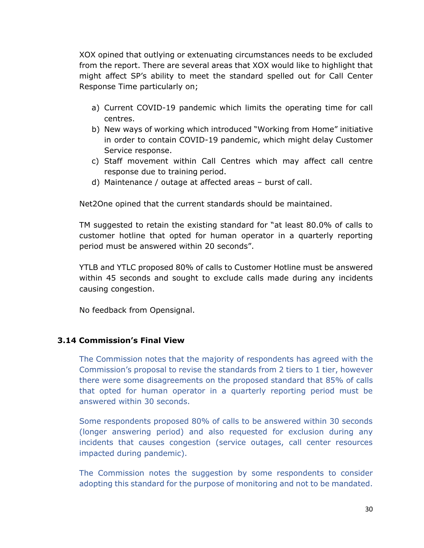XOX opined that outlying or extenuating circumstances needs to be excluded from the report. There are several areas that XOX would like to highlight that might affect SP's ability to meet the standard spelled out for Call Center Response Time particularly on;

- a) Current COVID-19 pandemic which limits the operating time for call centres.
- b) New ways of working which introduced "Working from Home" initiative in order to contain COVID-19 pandemic, which might delay Customer Service response.
- c) Staff movement within Call Centres which may affect call centre response due to training period.
- d) Maintenance / outage at affected areas burst of call.

Net2One opined that the current standards should be maintained.

TM suggested to retain the existing standard for "at least 80.0% of calls to customer hotline that opted for human operator in a quarterly reporting period must be answered within 20 seconds".

YTLB and YTLC proposed 80% of calls to Customer Hotline must be answered within 45 seconds and sought to exclude calls made during any incidents causing congestion.

No feedback from Opensignal.

#### **3.14 Commission's Final View**

The Commission notes that the majority of respondents has agreed with the Commission's proposal to revise the standards from 2 tiers to 1 tier, however there were some disagreements on the proposed standard that 85% of calls that opted for human operator in a quarterly reporting period must be answered within 30 seconds.

Some respondents proposed 80% of calls to be answered within 30 seconds (longer answering period) and also requested for exclusion during any incidents that causes congestion (service outages, call center resources impacted during pandemic).

The Commission notes the suggestion by some respondents to consider adopting this standard for the purpose of monitoring and not to be mandated.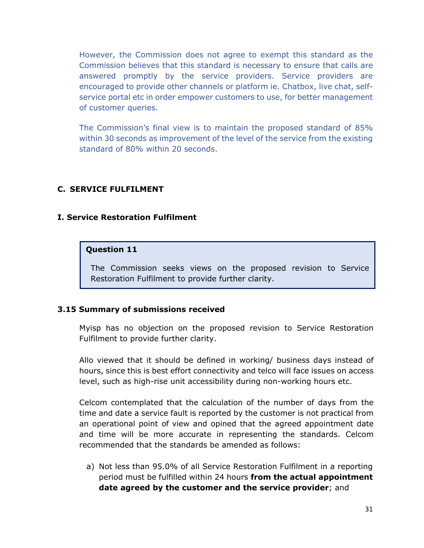However, the Commission does not agree to exempt this standard as the Commission believes that this standard is necessary to ensure that calls are answered promptly by the service providers. Service providers are encouraged to provide other channels or platform ie. Chatbox, live chat, selfservice portal etc in order empower customers to use, for better management of customer queries.

The Commission's final view is to maintain the proposed standard of 85% within 30 seconds as improvement of the level of the service from the existing standard of 80% within 20 seconds.

#### **C. SERVICE FULFILMENT**

#### **I. Service Restoration Fulfilment**

#### **Question 11**

The Commission seeks views on the proposed revision to Service Restoration Fulfilment to provide further clarity.

#### **3.15 Summary of submissions received**

Myisp has no objection on the proposed revision to Service Restoration Fulfilment to provide further clarity.

Allo viewed that it should be defined in working/ business days instead of hours, since this is best effort connectivity and telco will face issues on access level, such as high-rise unit accessibility during non-working hours etc.

Celcom contemplated that the calculation of the number of days from the time and date a service fault is reported by the customer is not practical from an operational point of view and opined that the agreed appointment date and time will be more accurate in representing the standards. Celcom recommended that the standards be amended as follows:

a) Not less than 95.0% of all Service Restoration Fulfilment in a reporting period must be fulfilled within 24 hours **from the actual appointment date agreed by the customer and the service provider**; and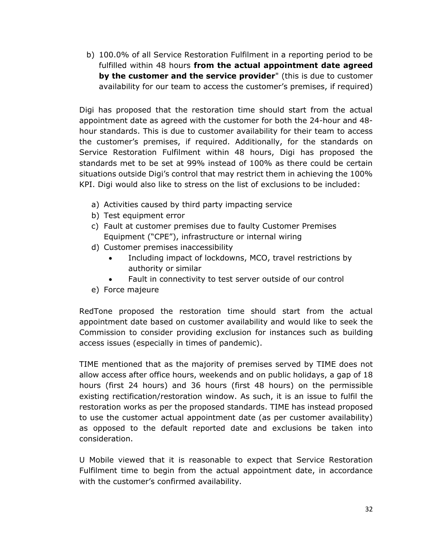b) 100.0% of all Service Restoration Fulfilment in a reporting period to be fulfilled within 48 hours **from the actual appointment date agreed by the customer and the service provider**" (this is due to customer availability for our team to access the customer's premises, if required)

Digi has proposed that the restoration time should start from the actual appointment date as agreed with the customer for both the 24-hour and 48 hour standards. This is due to customer availability for their team to access the customer's premises, if required. Additionally, for the standards on Service Restoration Fulfilment within 48 hours, Digi has proposed the standards met to be set at 99% instead of 100% as there could be certain situations outside Digi's control that may restrict them in achieving the 100% KPI. Digi would also like to stress on the list of exclusions to be included:

- a) Activities caused by third party impacting service
- b) Test equipment error
- c) Fault at customer premises due to faulty Customer Premises Equipment ("CPE"), infrastructure or internal wiring
- d) Customer premises inaccessibility
	- Including impact of lockdowns, MCO, travel restrictions by authority or similar
	- Fault in connectivity to test server outside of our control
- e) Force majeure

RedTone proposed the restoration time should start from the actual appointment date based on customer availability and would like to seek the Commission to consider providing exclusion for instances such as building access issues (especially in times of pandemic).

TIME mentioned that as the majority of premises served by TIME does not allow access after office hours, weekends and on public holidays, a gap of 18 hours (first 24 hours) and 36 hours (first 48 hours) on the permissible existing rectification/restoration window. As such, it is an issue to fulfil the restoration works as per the proposed standards. TIME has instead proposed to use the customer actual appointment date (as per customer availability) as opposed to the default reported date and exclusions be taken into consideration.

U Mobile viewed that it is reasonable to expect that Service Restoration Fulfilment time to begin from the actual appointment date, in accordance with the customer's confirmed availability.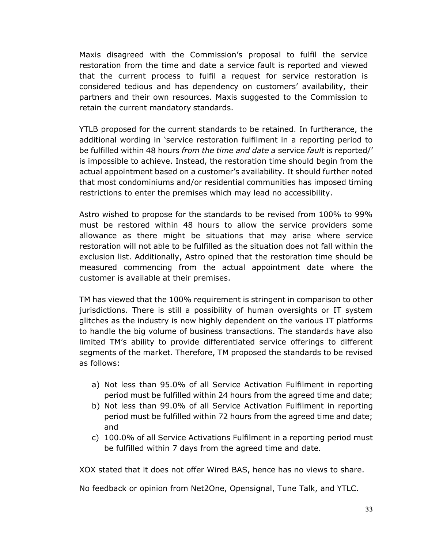Maxis disagreed with the Commission's proposal to fulfil the service restoration from the time and date a service fault is reported and viewed that the current process to fulfil a request for service restoration is considered tedious and has dependency on customers' availability, their partners and their own resources. Maxis suggested to the Commission to retain the current mandatory standards.

YTLB proposed for the current standards to be retained. In furtherance, the additional wording in 'service restoration fulfilment in a reporting period to be fulfilled within 48 hours *from the time and date a* service *fault* is reported/' is impossible to achieve. Instead, the restoration time should begin from the actual appointment based on a customer's availability. It should further noted that most condominiums and/or residential communities has imposed timing restrictions to enter the premises which may lead no accessibility.

Astro wished to propose for the standards to be revised from 100% to 99% must be restored within 48 hours to allow the service providers some allowance as there might be situations that may arise where service restoration will not able to be fulfilled as the situation does not fall within the exclusion list. Additionally, Astro opined that the restoration time should be measured commencing from the actual appointment date where the customer is available at their premises.

TM has viewed that the 100% requirement is stringent in comparison to other jurisdictions. There is still a possibility of human oversights or IT system glitches as the industry is now highly dependent on the various IT platforms to handle the big volume of business transactions. The standards have also limited TM's ability to provide differentiated service offerings to different segments of the market. Therefore, TM proposed the standards to be revised as follows:

- a) Not less than 95.0% of all Service Activation Fulfilment in reporting period must be fulfilled within 24 hours from the agreed time and date;
- b) Not less than 99.0% of all Service Activation Fulfilment in reporting period must be fulfilled within 72 hours from the agreed time and date; and
- c) 100.0% of all Service Activations Fulfilment in a reporting period must be fulfilled within 7 days from the agreed time and date.

XOX stated that it does not offer Wired BAS, hence has no views to share.

No feedback or opinion from Net2One, Opensignal, Tune Talk, and YTLC.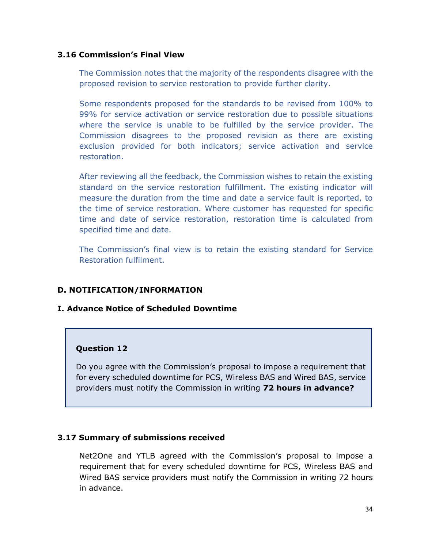#### **3.16 Commission's Final View**

The Commission notes that the majority of the respondents disagree with the proposed revision to service restoration to provide further clarity.

Some respondents proposed for the standards to be revised from 100% to 99% for service activation or service restoration due to possible situations where the service is unable to be fulfilled by the service provider. The Commission disagrees to the proposed revision as there are existing exclusion provided for both indicators; service activation and service restoration.

After reviewing all the feedback, the Commission wishes to retain the existing standard on the service restoration fulfillment. The existing indicator will measure the duration from the time and date a service fault is reported, to the time of service restoration. Where customer has requested for specific time and date of service restoration, restoration time is calculated from specified time and date.

The Commission's final view is to retain the existing standard for Service Restoration fulfilment.

#### **D. NOTIFICATION/INFORMATION**

#### **I. Advance Notice of Scheduled Downtime**

#### **Question 12**

Do you agree with the Commission's proposal to impose a requirement that for every scheduled downtime for PCS, Wireless BAS and Wired BAS, service providers must notify the Commission in writing **72 hours in advance?**

#### **3.17 Summary of submissions received**

Net2One and YTLB agreed with the Commission's proposal to impose a requirement that for every scheduled downtime for PCS, Wireless BAS and Wired BAS service providers must notify the Commission in writing 72 hours in advance.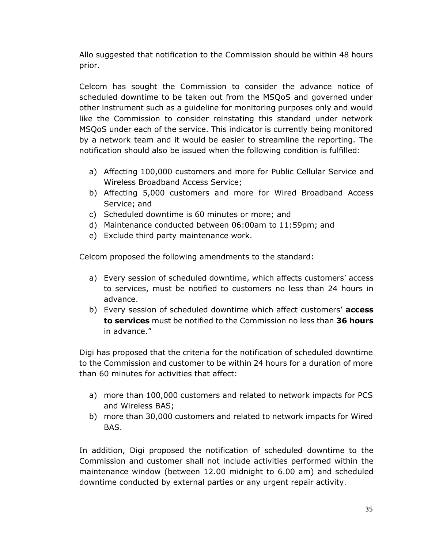Allo suggested that notification to the Commission should be within 48 hours prior.

Celcom has sought the Commission to consider the advance notice of scheduled downtime to be taken out from the MSQoS and governed under other instrument such as a guideline for monitoring purposes only and would like the Commission to consider reinstating this standard under network MSQoS under each of the service. This indicator is currently being monitored by a network team and it would be easier to streamline the reporting. The notification should also be issued when the following condition is fulfilled:

- a) Affecting 100,000 customers and more for Public Cellular Service and Wireless Broadband Access Service;
- b) Affecting 5,000 customers and more for Wired Broadband Access Service; and
- c) Scheduled downtime is 60 minutes or more; and
- d) Maintenance conducted between 06:00am to 11:59pm; and
- e) Exclude third party maintenance work.

Celcom proposed the following amendments to the standard:

- a) Every session of scheduled downtime, which affects customers' access to services, must be notified to customers no less than 24 hours in advance.
- b) Every session of scheduled downtime which affect customers' **access to services** must be notified to the Commission no less than **36 hours**  in advance."

Digi has proposed that the criteria for the notification of scheduled downtime to the Commission and customer to be within 24 hours for a duration of more than 60 minutes for activities that affect:

- a) more than 100,000 customers and related to network impacts for PCS and Wireless BAS;
- b) more than 30,000 customers and related to network impacts for Wired BAS.

In addition, Digi proposed the notification of scheduled downtime to the Commission and customer shall not include activities performed within the maintenance window (between 12.00 midnight to 6.00 am) and scheduled downtime conducted by external parties or any urgent repair activity.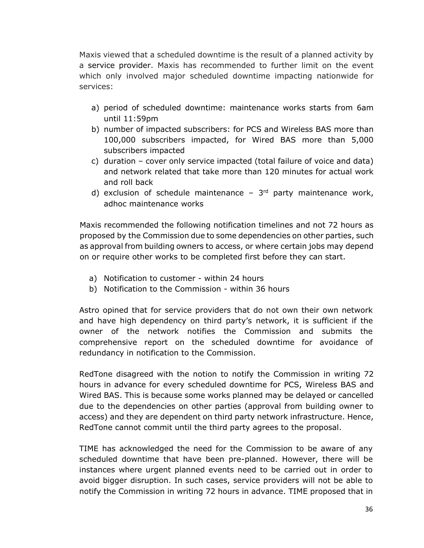Maxis viewed that a scheduled downtime is the result of a planned activity by a service provider. Maxis has recommended to further limit on the event which only involved major scheduled downtime impacting nationwide for services:

- a) period of scheduled downtime: maintenance works starts from 6am until 11:59pm
- b) number of impacted subscribers: for PCS and Wireless BAS more than 100,000 subscribers impacted, for Wired BAS more than 5,000 subscribers impacted
- c) duration cover only service impacted (total failure of voice and data) and network related that take more than 120 minutes for actual work and roll back
- d) exclusion of schedule maintenance  $-3<sup>rd</sup>$  party maintenance work, adhoc maintenance works

Maxis recommended the following notification timelines and not 72 hours as proposed by the Commission due to some dependencies on other parties, such as approval from building owners to access, or where certain jobs may depend on or require other works to be completed first before they can start.

- a) Notification to customer within 24 hours
- b) Notification to the Commission within 36 hours

Astro opined that for service providers that do not own their own network and have high dependency on third party's network, it is sufficient if the owner of the network notifies the Commission and submits the comprehensive report on the scheduled downtime for avoidance of redundancy in notification to the Commission.

RedTone disagreed with the notion to notify the Commission in writing 72 hours in advance for every scheduled downtime for PCS, Wireless BAS and Wired BAS. This is because some works planned may be delayed or cancelled due to the dependencies on other parties (approval from building owner to access) and they are dependent on third party network infrastructure. Hence, RedTone cannot commit until the third party agrees to the proposal.

TIME has acknowledged the need for the Commission to be aware of any scheduled downtime that have been pre-planned. However, there will be instances where urgent planned events need to be carried out in order to avoid bigger disruption. In such cases, service providers will not be able to notify the Commission in writing 72 hours in advance. TIME proposed that in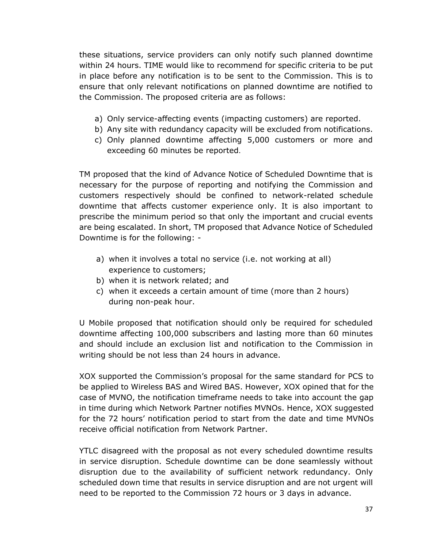these situations, service providers can only notify such planned downtime within 24 hours. TIME would like to recommend for specific criteria to be put in place before any notification is to be sent to the Commission. This is to ensure that only relevant notifications on planned downtime are notified to the Commission. The proposed criteria are as follows:

- a) Only service-affecting events (impacting customers) are reported.
- b) Any site with redundancy capacity will be excluded from notifications.
- c) Only planned downtime affecting 5,000 customers or more and exceeding 60 minutes be reported.

TM proposed that the kind of Advance Notice of Scheduled Downtime that is necessary for the purpose of reporting and notifying the Commission and customers respectively should be confined to network-related schedule downtime that affects customer experience only. It is also important to prescribe the minimum period so that only the important and crucial events are being escalated. In short, TM proposed that Advance Notice of Scheduled Downtime is for the following: -

- a) when it involves a total no service (i.e. not working at all) experience to customers;
- b) when it is network related; and
- c) when it exceeds a certain amount of time (more than 2 hours) during non-peak hour.

U Mobile proposed that notification should only be required for scheduled downtime affecting 100,000 subscribers and lasting more than 60 minutes and should include an exclusion list and notification to the Commission in writing should be not less than 24 hours in advance.

XOX supported the Commission's proposal for the same standard for PCS to be applied to Wireless BAS and Wired BAS. However, XOX opined that for the case of MVNO, the notification timeframe needs to take into account the gap in time during which Network Partner notifies MVNOs. Hence, XOX suggested for the 72 hours' notification period to start from the date and time MVNOs receive official notification from Network Partner.

YTLC disagreed with the proposal as not every scheduled downtime results in service disruption. Schedule downtime can be done seamlessly without disruption due to the availability of sufficient network redundancy. Only scheduled down time that results in service disruption and are not urgent will need to be reported to the Commission 72 hours or 3 days in advance.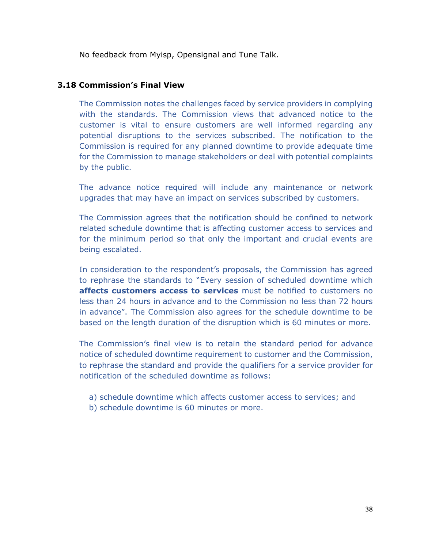No feedback from Myisp, Opensignal and Tune Talk.

#### **3.18 Commission's Final View**

The Commission notes the challenges faced by service providers in complying with the standards. The Commission views that advanced notice to the customer is vital to ensure customers are well informed regarding any potential disruptions to the services subscribed. The notification to the Commission is required for any planned downtime to provide adequate time for the Commission to manage stakeholders or deal with potential complaints by the public.

The advance notice required will include any maintenance or network upgrades that may have an impact on services subscribed by customers.

The Commission agrees that the notification should be confined to network related schedule downtime that is affecting customer access to services and for the minimum period so that only the important and crucial events are being escalated.

In consideration to the respondent's proposals, the Commission has agreed to rephrase the standards to "Every session of scheduled downtime which **affects customers access to services** must be notified to customers no less than 24 hours in advance and to the Commission no less than 72 hours in advance". The Commission also agrees for the schedule downtime to be based on the length duration of the disruption which is 60 minutes or more.

The Commission's final view is to retain the standard period for advance notice of scheduled downtime requirement to customer and the Commission, to rephrase the standard and provide the qualifiers for a service provider for notification of the scheduled downtime as follows:

- a) schedule downtime which affects customer access to services; and
- b) schedule downtime is 60 minutes or more.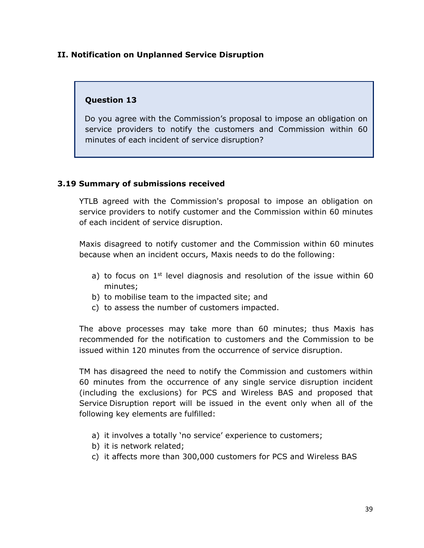#### **II. Notification on Unplanned Service Disruption**

# **Question 13**

Do you agree with the Commission's proposal to impose an obligation on service providers to notify the customers and Commission within 60 minutes of each incident of service disruption?

# **3.19 Summary of submissions received**

YTLB agreed with the Commission's proposal to impose an obligation on service providers to notify customer and the Commission within 60 minutes of each incident of service disruption.

Maxis disagreed to notify customer and the Commission within 60 minutes because when an incident occurs, Maxis needs to do the following:

- a) to focus on  $1<sup>st</sup>$  level diagnosis and resolution of the issue within 60 minutes;
- b) to mobilise team to the impacted site; and
- c) to assess the number of customers impacted.

The above processes may take more than 60 minutes; thus Maxis has recommended for the notification to customers and the Commission to be issued within 120 minutes from the occurrence of service disruption.

TM has disagreed the need to notify the Commission and customers within 60 minutes from the occurrence of any single service disruption incident (including the exclusions) for PCS and Wireless BAS and proposed that Service Disruption report will be issued in the event only when all of the following key elements are fulfilled:

- a) it involves a totally 'no service' experience to customers;
- b) it is network related;
- c) it affects more than 300,000 customers for PCS and Wireless BAS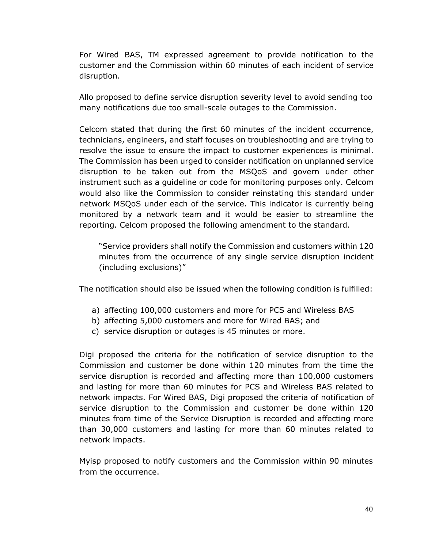For Wired BAS, TM expressed agreement to provide notification to the customer and the Commission within 60 minutes of each incident of service disruption.

Allo proposed to define service disruption severity level to avoid sending too many notifications due too small-scale outages to the Commission.

Celcom stated that during the first 60 minutes of the incident occurrence, technicians, engineers, and staff focuses on troubleshooting and are trying to resolve the issue to ensure the impact to customer experiences is minimal. The Commission has been urged to consider notification on unplanned service disruption to be taken out from the MSQoS and govern under other instrument such as a guideline or code for monitoring purposes only. Celcom would also like the Commission to consider reinstating this standard under network MSQoS under each of the service. This indicator is currently being monitored by a network team and it would be easier to streamline the reporting. Celcom proposed the following amendment to the standard.

"Service providers shall notify the Commission and customers within 120 minutes from the occurrence of any single service disruption incident (including exclusions)"

The notification should also be issued when the following condition is fulfilled:

- a) affecting 100,000 customers and more for PCS and Wireless BAS
- b) affecting 5,000 customers and more for Wired BAS; and
- c) service disruption or outages is 45 minutes or more.

Digi proposed the criteria for the notification of service disruption to the Commission and customer be done within 120 minutes from the time the service disruption is recorded and affecting more than 100,000 customers and lasting for more than 60 minutes for PCS and Wireless BAS related to network impacts. For Wired BAS, Digi proposed the criteria of notification of service disruption to the Commission and customer be done within 120 minutes from time of the Service Disruption is recorded and affecting more than 30,000 customers and lasting for more than 60 minutes related to network impacts.

Myisp proposed to notify customers and the Commission within 90 minutes from the occurrence.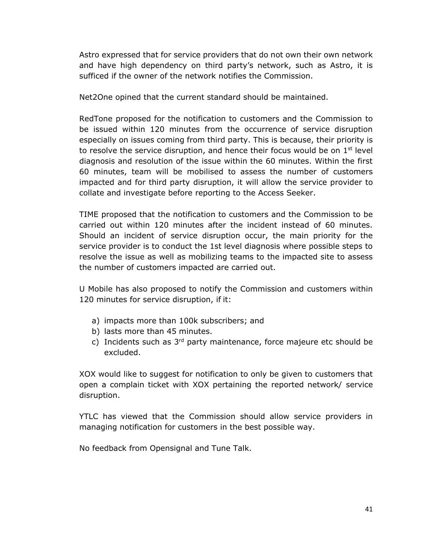Astro expressed that for service providers that do not own their own network and have high dependency on third party's network, such as Astro, it is sufficed if the owner of the network notifies the Commission.

Net2One opined that the current standard should be maintained.

RedTone proposed for the notification to customers and the Commission to be issued within 120 minutes from the occurrence of service disruption especially on issues coming from third party. This is because, their priority is to resolve the service disruption, and hence their focus would be on  $1<sup>st</sup>$  level diagnosis and resolution of the issue within the 60 minutes. Within the first 60 minutes, team will be mobilised to assess the number of customers impacted and for third party disruption, it will allow the service provider to collate and investigate before reporting to the Access Seeker.

TIME proposed that the notification to customers and the Commission to be carried out within 120 minutes after the incident instead of 60 minutes. Should an incident of service disruption occur, the main priority for the service provider is to conduct the 1st level diagnosis where possible steps to resolve the issue as well as mobilizing teams to the impacted site to assess the number of customers impacted are carried out.

U Mobile has also proposed to notify the Commission and customers within 120 minutes for service disruption, if it:

- a) impacts more than 100k subscribers; and
- b) lasts more than 45 minutes.
- c) Incidents such as  $3<sup>rd</sup>$  party maintenance, force majeure etc should be excluded.

XOX would like to suggest for notification to only be given to customers that open a complain ticket with XOX pertaining the reported network/ service disruption.

YTLC has viewed that the Commission should allow service providers in managing notification for customers in the best possible way.

No feedback from Opensignal and Tune Talk.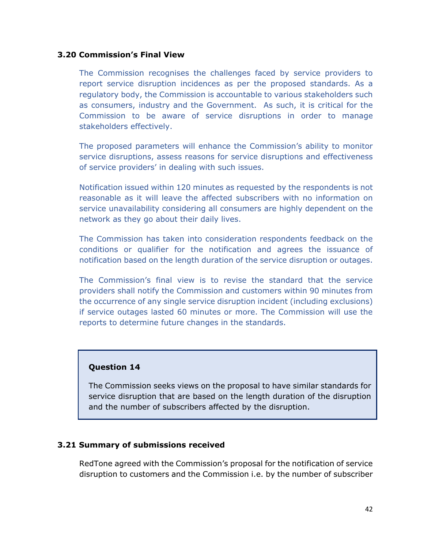#### **3.20 Commission's Final View**

The Commission recognises the challenges faced by service providers to report service disruption incidences as per the proposed standards. As a regulatory body, the Commission is accountable to various stakeholders such as consumers, industry and the Government. As such, it is critical for the Commission to be aware of service disruptions in order to manage stakeholders effectively.

The proposed parameters will enhance the Commission's ability to monitor service disruptions, assess reasons for service disruptions and effectiveness of service providers' in dealing with such issues.

Notification issued within 120 minutes as requested by the respondents is not reasonable as it will leave the affected subscribers with no information on service unavailability considering all consumers are highly dependent on the network as they go about their daily lives.

The Commission has taken into consideration respondents feedback on the conditions or qualifier for the notification and agrees the issuance of notification based on the length duration of the service disruption or outages.

The Commission's final view is to revise the standard that the service providers shall notify the Commission and customers within 90 minutes from the occurrence of any single service disruption incident (including exclusions) if service outages lasted 60 minutes or more. The Commission will use the reports to determine future changes in the standards.

#### **Question 14**

The Commission seeks views on the proposal to have similar standards for service disruption that are based on the length duration of the disruption and the number of subscribers affected by the disruption.

#### **3.21 Summary of submissions received**

RedTone agreed with the Commission's proposal for the notification of service disruption to customers and the Commission i.e. by the number of subscriber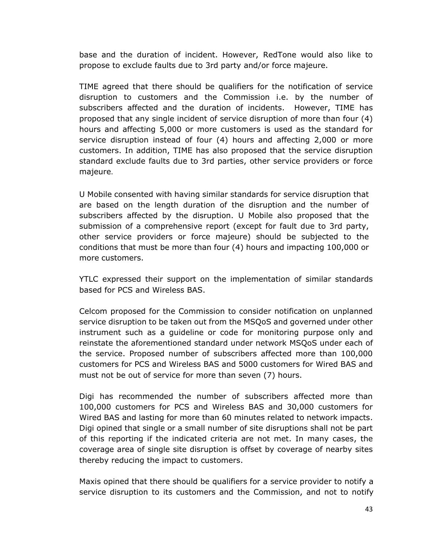base and the duration of incident. However, RedTone would also like to propose to exclude faults due to 3rd party and/or force majeure.

TIME agreed that there should be qualifiers for the notification of service disruption to customers and the Commission i.e. by the number of subscribers affected and the duration of incidents. However, TIME has proposed that any single incident of service disruption of more than four (4) hours and affecting 5,000 or more customers is used as the standard for service disruption instead of four (4) hours and affecting 2,000 or more customers. In addition, TIME has also proposed that the service disruption standard exclude faults due to 3rd parties, other service providers or force majeure.

U Mobile consented with having similar standards for service disruption that are based on the length duration of the disruption and the number of subscribers affected by the disruption. U Mobile also proposed that the submission of a comprehensive report (except for fault due to 3rd party, other service providers or force majeure) should be subjected to the conditions that must be more than four (4) hours and impacting 100,000 or more customers.

YTLC expressed their support on the implementation of similar standards based for PCS and Wireless BAS.

Celcom proposed for the Commission to consider notification on unplanned service disruption to be taken out from the MSQoS and governed under other instrument such as a guideline or code for monitoring purpose only and reinstate the aforementioned standard under network MSQoS under each of the service. Proposed number of subscribers affected more than 100,000 customers for PCS and Wireless BAS and 5000 customers for Wired BAS and must not be out of service for more than seven (7) hours.

Digi has recommended the number of subscribers affected more than 100,000 customers for PCS and Wireless BAS and 30,000 customers for Wired BAS and lasting for more than 60 minutes related to network impacts. Digi opined that single or a small number of site disruptions shall not be part of this reporting if the indicated criteria are not met. In many cases, the coverage area of single site disruption is offset by coverage of nearby sites thereby reducing the impact to customers.

Maxis opined that there should be qualifiers for a service provider to notify a service disruption to its customers and the Commission, and not to notify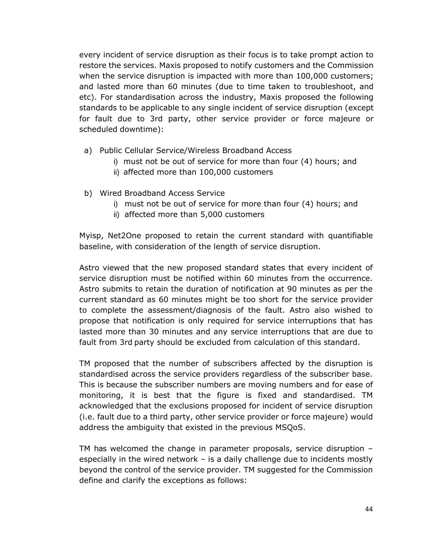every incident of service disruption as their focus is to take prompt action to restore the services. Maxis proposed to notify customers and the Commission when the service disruption is impacted with more than 100,000 customers; and lasted more than 60 minutes (due to time taken to troubleshoot, and etc). For standardisation across the industry, Maxis proposed the following standards to be applicable to any single incident of service disruption (except for fault due to 3rd party, other service provider or force majeure or scheduled downtime):

- a) Public Cellular Service/Wireless Broadband Access
	- i) must not be out of service for more than four (4) hours; and
	- ii) affected more than 100,000 customers
- b) Wired Broadband Access Service
	- i) must not be out of service for more than four (4) hours; and
	- ii) affected more than 5,000 customers

Myisp, Net2One proposed to retain the current standard with quantifiable baseline, with consideration of the length of service disruption.

Astro viewed that the new proposed standard states that every incident of service disruption must be notified within 60 minutes from the occurrence. Astro submits to retain the duration of notification at 90 minutes as per the current standard as 60 minutes might be too short for the service provider to complete the assessment/diagnosis of the fault. Astro also wished to propose that notification is only required for service interruptions that has lasted more than 30 minutes and any service interruptions that are due to fault from 3rd party should be excluded from calculation of this standard.

TM proposed that the number of subscribers affected by the disruption is standardised across the service providers regardless of the subscriber base. This is because the subscriber numbers are moving numbers and for ease of monitoring, it is best that the figure is fixed and standardised. TM acknowledged that the exclusions proposed for incident of service disruption (i.e. fault due to a third party, other service provider or force majeure) would address the ambiguity that existed in the previous MSQoS.

TM has welcomed the change in parameter proposals, service disruption – especially in the wired network – is a daily challenge due to incidents mostly beyond the control of the service provider. TM suggested for the Commission define and clarify the exceptions as follows: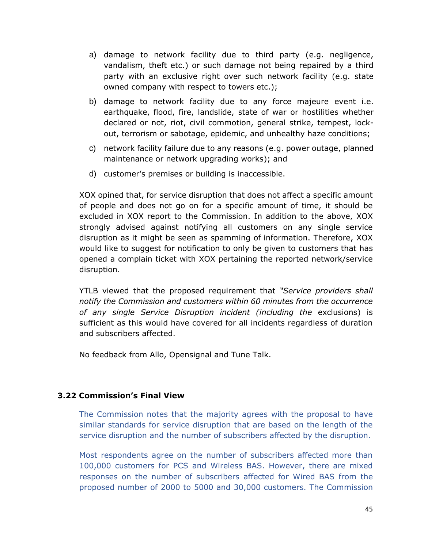- a) damage to network facility due to third party (e.g. negligence, vandalism, theft etc.) or such damage not being repaired by a third party with an exclusive right over such network facility (e.g. state owned company with respect to towers etc.);
- b) damage to network facility due to any force majeure event i.e. earthquake, flood, fire, landslide, state of war or hostilities whether declared or not, riot, civil commotion, general strike, tempest, lockout, terrorism or sabotage, epidemic, and unhealthy haze conditions;
- c) network facility failure due to any reasons (e.g. power outage, planned maintenance or network upgrading works); and
- d) customer's premises or building is inaccessible.

XOX opined that, for service disruption that does not affect a specific amount of people and does not go on for a specific amount of time, it should be excluded in XOX report to the Commission. In addition to the above, XOX strongly advised against notifying all customers on any single service disruption as it might be seen as spamming of information. Therefore, XOX would like to suggest for notification to only be given to customers that has opened a complain ticket with XOX pertaining the reported network/service disruption.

YTLB viewed that the proposed requirement that *"Service providers shall notify the Commission and customers within 60 minutes from the occurrence of any single Service Disruption incident (including the* exclusions) is sufficient as this would have covered for all incidents regardless of duration and subscribers affected.

No feedback from Allo, Opensignal and Tune Talk.

#### **3.22 Commission's Final View**

The Commission notes that the majority agrees with the proposal to have similar standards for service disruption that are based on the length of the service disruption and the number of subscribers affected by the disruption.

Most respondents agree on the number of subscribers affected more than 100,000 customers for PCS and Wireless BAS. However, there are mixed responses on the number of subscribers affected for Wired BAS from the proposed number of 2000 to 5000 and 30,000 customers. The Commission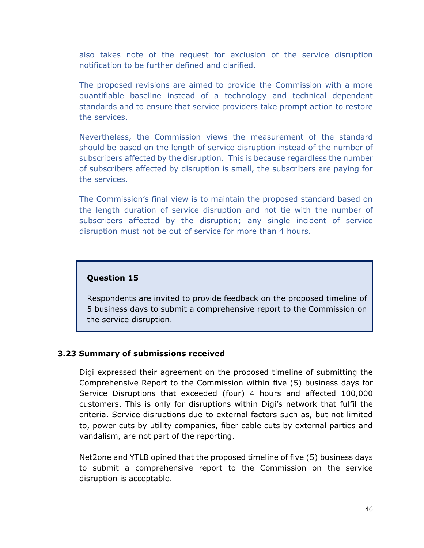also takes note of the request for exclusion of the service disruption notification to be further defined and clarified.

The proposed revisions are aimed to provide the Commission with a more quantifiable baseline instead of a technology and technical dependent standards and to ensure that service providers take prompt action to restore the services.

Nevertheless, the Commission views the measurement of the standard should be based on the length of service disruption instead of the number of subscribers affected by the disruption. This is because regardless the number of subscribers affected by disruption is small, the subscribers are paying for the services.

The Commission's final view is to maintain the proposed standard based on the length duration of service disruption and not tie with the number of subscribers affected by the disruption; any single incident of service disruption must not be out of service for more than 4 hours.

#### **Question 15**

Respondents are invited to provide feedback on the proposed timeline of 5 business days to submit a comprehensive report to the Commission on the service disruption.

#### **3.23 Summary of submissions received**

Digi expressed their agreement on the proposed timeline of submitting the Comprehensive Report to the Commission within five (5) business days for Service Disruptions that exceeded (four) 4 hours and affected 100,000 customers. This is only for disruptions within Digi's network that fulfil the criteria. Service disruptions due to external factors such as, but not limited to, power cuts by utility companies, fiber cable cuts by external parties and vandalism, are not part of the reporting.

Net2one and YTLB opined that the proposed timeline of five (5) business days to submit a comprehensive report to the Commission on the service disruption is acceptable.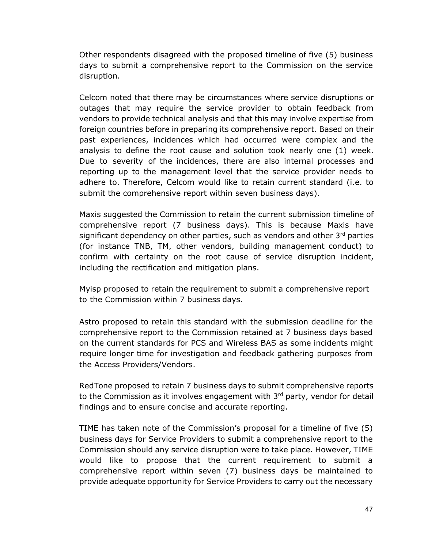Other respondents disagreed with the proposed timeline of five (5) business days to submit a comprehensive report to the Commission on the service disruption.

Celcom noted that there may be circumstances where service disruptions or outages that may require the service provider to obtain feedback from vendors to provide technical analysis and that this may involve expertise from foreign countries before in preparing its comprehensive report. Based on their past experiences, incidences which had occurred were complex and the analysis to define the root cause and solution took nearly one (1) week. Due to severity of the incidences, there are also internal processes and reporting up to the management level that the service provider needs to adhere to. Therefore, Celcom would like to retain current standard (i.e. to submit the comprehensive report within seven business days).

Maxis suggested the Commission to retain the current submission timeline of comprehensive report (7 business days). This is because Maxis have significant dependency on other parties, such as vendors and other 3rd parties (for instance TNB, TM, other vendors, building management conduct) to confirm with certainty on the root cause of service disruption incident, including the rectification and mitigation plans.

Myisp proposed to retain the requirement to submit a comprehensive report to the Commission within 7 business days.

Astro proposed to retain this standard with the submission deadline for the comprehensive report to the Commission retained at 7 business days based on the current standards for PCS and Wireless BAS as some incidents might require longer time for investigation and feedback gathering purposes from the Access Providers/Vendors.

RedTone proposed to retain 7 business days to submit comprehensive reports to the Commission as it involves engagement with  $3<sup>rd</sup>$  party, vendor for detail findings and to ensure concise and accurate reporting.

TIME has taken note of the Commission's proposal for a timeline of five (5) business days for Service Providers to submit a comprehensive report to the Commission should any service disruption were to take place. However, TIME would like to propose that the current requirement to submit a comprehensive report within seven (7) business days be maintained to provide adequate opportunity for Service Providers to carry out the necessary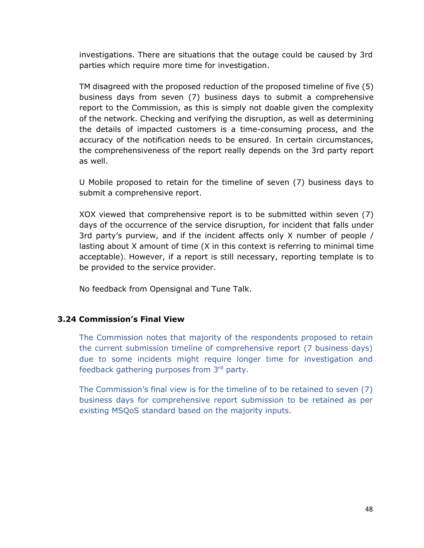investigations. There are situations that the outage could be caused by 3rd parties which require more time for investigation.

TM disagreed with the proposed reduction of the proposed timeline of five (5) business days from seven (7) business days to submit a comprehensive report to the Commission, as this is simply not doable given the complexity of the network. Checking and verifying the disruption, as well as determining the details of impacted customers is a time-consuming process, and the accuracy of the notification needs to be ensured. In certain circumstances, the comprehensiveness of the report really depends on the 3rd party report as well.

U Mobile proposed to retain for the timeline of seven (7) business days to submit a comprehensive report.

XOX viewed that comprehensive report is to be submitted within seven (7) days of the occurrence of the service disruption, for incident that falls under 3rd party's purview, and if the incident affects only X number of people / lasting about X amount of time (X in this context is referring to minimal time acceptable). However, if a report is still necessary, reporting template is to be provided to the service provider.

No feedback from Opensignal and Tune Talk.

# **3.24 Commission's Final View**

The Commission notes that majority of the respondents proposed to retain the current submission timeline of comprehensive report (7 business days) due to some incidents might require longer time for investigation and feedback gathering purposes from 3rd party.

The Commission's final view is for the timeline of to be retained to seven (7) business days for comprehensive report submission to be retained as per existing MSQoS standard based on the majority inputs.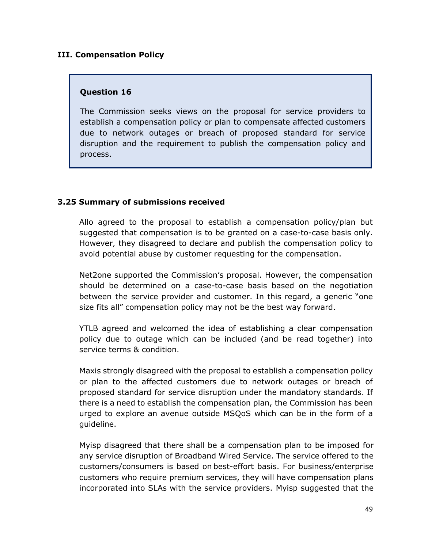#### **III. Compensation Policy**

#### **Question 16**

The Commission seeks views on the proposal for service providers to establish a compensation policy or plan to compensate affected customers due to network outages or breach of proposed standard for service disruption and the requirement to publish the compensation policy and process.

# **3.25 Summary of submissions received**

Allo agreed to the proposal to establish a compensation policy/plan but suggested that compensation is to be granted on a case-to-case basis only. However, they disagreed to declare and publish the compensation policy to avoid potential abuse by customer requesting for the compensation.

Net2one supported the Commission's proposal. However, the compensation should be determined on a case-to-case basis based on the negotiation between the service provider and customer. In this regard, a generic "one size fits all" compensation policy may not be the best way forward.

YTLB agreed and welcomed the idea of establishing a clear compensation policy due to outage which can be included (and be read together) into service terms & condition.

Maxis strongly disagreed with the proposal to establish a compensation policy or plan to the affected customers due to network outages or breach of proposed standard for service disruption under the mandatory standards. If there is a need to establish the compensation plan, the Commission has been urged to explore an avenue outside MSQoS which can be in the form of a guideline.

Myisp disagreed that there shall be a compensation plan to be imposed for any service disruption of Broadband Wired Service. The service offered to the customers/consumers is based on best-effort basis. For business/enterprise customers who require premium services, they will have compensation plans incorporated into SLAs with the service providers. Myisp suggested that the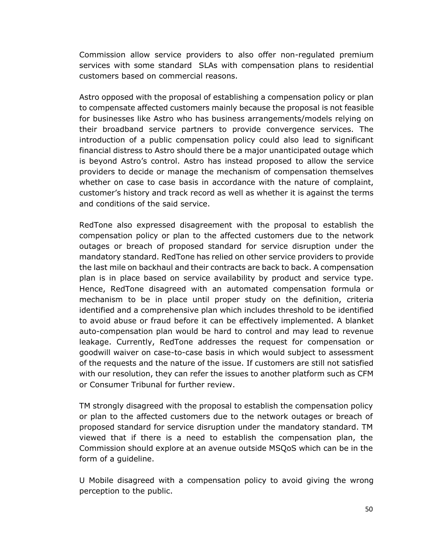Commission allow service providers to also offer non-regulated premium services with some standard SLAs with compensation plans to residential customers based on commercial reasons.

Astro opposed with the proposal of establishing a compensation policy or plan to compensate affected customers mainly because the proposal is not feasible for businesses like Astro who has business arrangements/models relying on their broadband service partners to provide convergence services. The introduction of a public compensation policy could also lead to significant financial distress to Astro should there be a major unanticipated outage which is beyond Astro's control. Astro has instead proposed to allow the service providers to decide or manage the mechanism of compensation themselves whether on case to case basis in accordance with the nature of complaint, customer's history and track record as well as whether it is against the terms and conditions of the said service.

RedTone also expressed disagreement with the proposal to establish the compensation policy or plan to the affected customers due to the network outages or breach of proposed standard for service disruption under the mandatory standard. RedTone has relied on other service providers to provide the last mile on backhaul and their contracts are back to back. A compensation plan is in place based on service availability by product and service type. Hence, RedTone disagreed with an automated compensation formula or mechanism to be in place until proper study on the definition, criteria identified and a comprehensive plan which includes threshold to be identified to avoid abuse or fraud before it can be effectively implemented. A blanket auto-compensation plan would be hard to control and may lead to revenue leakage. Currently, RedTone addresses the request for compensation or goodwill waiver on case-to-case basis in which would subject to assessment of the requests and the nature of the issue. If customers are still not satisfied with our resolution, they can refer the issues to another platform such as CFM or Consumer Tribunal for further review.

TM strongly disagreed with the proposal to establish the compensation policy or plan to the affected customers due to the network outages or breach of proposed standard for service disruption under the mandatory standard. TM viewed that if there is a need to establish the compensation plan, the Commission should explore at an avenue outside MSQoS which can be in the form of a guideline.

U Mobile disagreed with a compensation policy to avoid giving the wrong perception to the public.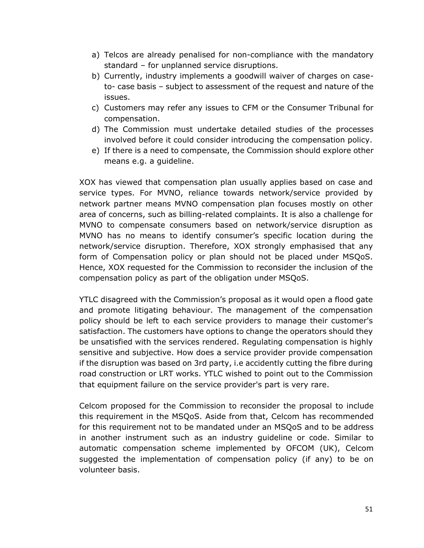- a) Telcos are already penalised for non-compliance with the mandatory standard – for unplanned service disruptions.
- b) Currently, industry implements a goodwill waiver of charges on caseto- case basis – subject to assessment of the request and nature of the issues.
- c) Customers may refer any issues to CFM or the Consumer Tribunal for compensation.
- d) The Commission must undertake detailed studies of the processes involved before it could consider introducing the compensation policy.
- e) If there is a need to compensate, the Commission should explore other means e.g. a guideline.

XOX has viewed that compensation plan usually applies based on case and service types. For MVNO, reliance towards network/service provided by network partner means MVNO compensation plan focuses mostly on other area of concerns, such as billing-related complaints. It is also a challenge for MVNO to compensate consumers based on network/service disruption as MVNO has no means to identify consumer's specific location during the network/service disruption. Therefore, XOX strongly emphasised that any form of Compensation policy or plan should not be placed under MSQoS. Hence, XOX requested for the Commission to reconsider the inclusion of the compensation policy as part of the obligation under MSQoS.

YTLC disagreed with the Commission's proposal as it would open a flood gate and promote litigating behaviour. The management of the compensation policy should be left to each service providers to manage their customer's satisfaction. The customers have options to change the operators should they be unsatisfied with the services rendered. Regulating compensation is highly sensitive and subjective. How does a service provider provide compensation if the disruption was based on 3rd party, i.e accidently cutting the fibre during road construction or LRT works. YTLC wished to point out to the Commission that equipment failure on the service provider's part is very rare.

Celcom proposed for the Commission to reconsider the proposal to include this requirement in the MSQoS. Aside from that, Celcom has recommended for this requirement not to be mandated under an MSQoS and to be address in another instrument such as an industry guideline or code. Similar to automatic compensation scheme implemented by OFCOM (UK), Celcom suggested the implementation of compensation policy (if any) to be on volunteer basis.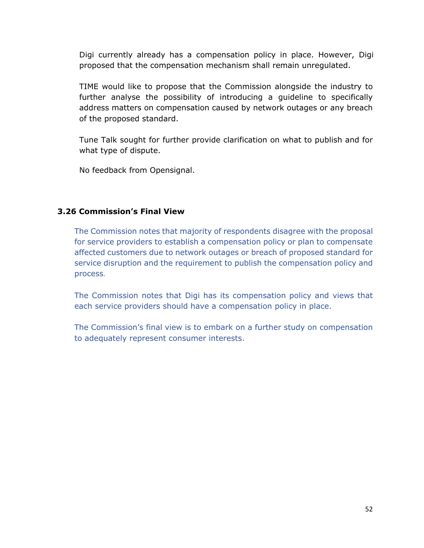Digi currently already has a compensation policy in place. However, Digi proposed that the compensation mechanism shall remain unregulated.

TIME would like to propose that the Commission alongside the industry to further analyse the possibility of introducing a guideline to specifically address matters on compensation caused by network outages or any breach of the proposed standard.

Tune Talk sought for further provide clarification on what to publish and for what type of dispute.

No feedback from Opensignal.

# **3.26 Commission's Final View**

The Commission notes that majority of respondents disagree with the proposal for service providers to establish a compensation policy or plan to compensate affected customers due to network outages or breach of proposed standard for service disruption and the requirement to publish the compensation policy and process.

The Commission notes that Digi has its compensation policy and views that each service providers should have a compensation policy in place.

The Commission's final view is to embark on a further study on compensation to adequately represent consumer interests.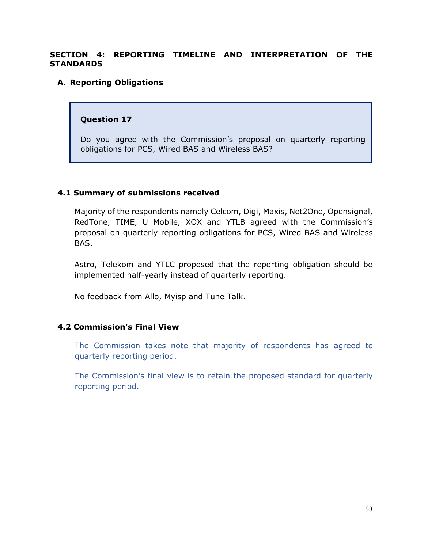#### **SECTION 4: REPORTING TIMELINE AND INTERPRETATION OF THE STANDARDS**

#### **A. Reporting Obligations**

#### **Question 17**

Do you agree with the Commission's proposal on quarterly reporting obligations for PCS, Wired BAS and Wireless BAS?

#### **4.1 Summary of submissions received**

Majority of the respondents namely Celcom, Digi, Maxis, Net2One, Opensignal, RedTone, TIME, U Mobile, XOX and YTLB agreed with the Commission's proposal on quarterly reporting obligations for PCS, Wired BAS and Wireless BAS.

Astro, Telekom and YTLC proposed that the reporting obligation should be implemented half-yearly instead of quarterly reporting.

No feedback from Allo, Myisp and Tune Talk.

#### **4.2 Commission's Final View**

The Commission takes note that majority of respondents has agreed to quarterly reporting period.

The Commission's final view is to retain the proposed standard for quarterly reporting period.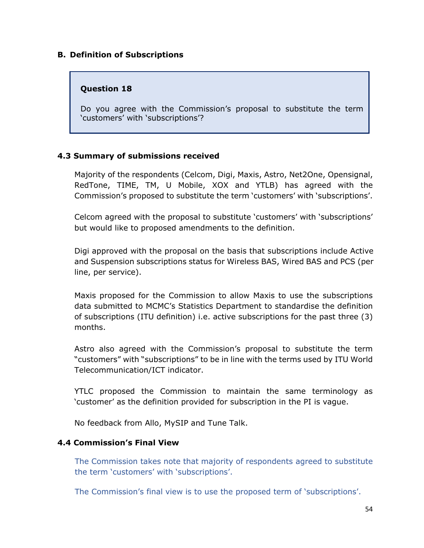#### **B. Definition of Subscriptions**

#### **Question 18**

Do you agree with the Commission's proposal to substitute the term 'customers' with 'subscriptions'?

# **4.3 Summary of submissions received**

Majority of the respondents (Celcom, Digi, Maxis, Astro, Net2One, Opensignal, RedTone, TIME, TM, U Mobile, XOX and YTLB) has agreed with the Commission's proposed to substitute the term 'customers' with 'subscriptions'.

Celcom agreed with the proposal to substitute 'customers' with 'subscriptions' but would like to proposed amendments to the definition.

Digi approved with the proposal on the basis that subscriptions include Active and Suspension subscriptions status for Wireless BAS, Wired BAS and PCS (per line, per service).

Maxis proposed for the Commission to allow Maxis to use the subscriptions data submitted to MCMC's Statistics Department to standardise the definition of subscriptions (ITU definition) i.e. active subscriptions for the past three (3) months.

Astro also agreed with the Commission's proposal to substitute the term "customers" with "subscriptions" to be in line with the terms used by ITU World Telecommunication/ICT indicator.

YTLC proposed the Commission to maintain the same terminology as 'customer' as the definition provided for subscription in the PI is vague.

No feedback from Allo, MySIP and Tune Talk.

#### **4.4 Commission's Final View**

The Commission takes note that majority of respondents agreed to substitute the term 'customers' with 'subscriptions'.

The Commission's final view is to use the proposed term of 'subscriptions'.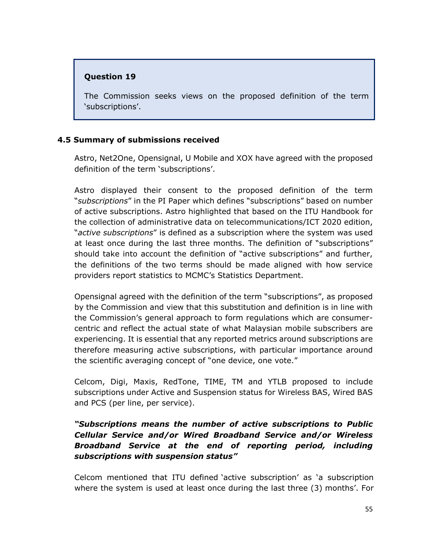# **Question 19**

The Commission seeks views on the proposed definition of the term 'subscriptions'.

# **4.5 Summary of submissions received**

Astro, Net2One, Opensignal, U Mobile and XOX have agreed with the proposed definition of the term 'subscriptions'.

Astro displayed their consent to the proposed definition of the term "*subscriptions*" in the PI Paper which defines "subscriptions" based on number of active subscriptions. Astro highlighted that based on the ITU Handbook for the collection of administrative data on telecommunications/ICT 2020 edition, "*active subscriptions*" is defined as a subscription where the system was used at least once during the last three months. The definition of "subscriptions" should take into account the definition of "active subscriptions" and further, the definitions of the two terms should be made aligned with how service providers report statistics to MCMC's Statistics Department.

Opensignal agreed with the definition of the term "subscriptions", as proposed by the Commission and view that this substitution and definition is in line with the Commission's general approach to form regulations which are consumercentric and reflect the actual state of what Malaysian mobile subscribers are experiencing. It is essential that any reported metrics around subscriptions are therefore measuring active subscriptions, with particular importance around the scientific averaging concept of "one device, one vote."

Celcom, Digi, Maxis, RedTone, TIME, TM and YTLB proposed to include subscriptions under Active and Suspension status for Wireless BAS, Wired BAS and PCS (per line, per service).

# *"Subscriptions means the number of active subscriptions to Public Cellular Service and/or Wired Broadband Service and/or Wireless Broadband Service at the end of reporting period, including subscriptions with suspension status"*

Celcom mentioned that ITU defined 'active subscription' as 'a subscription where the system is used at least once during the last three (3) months'. For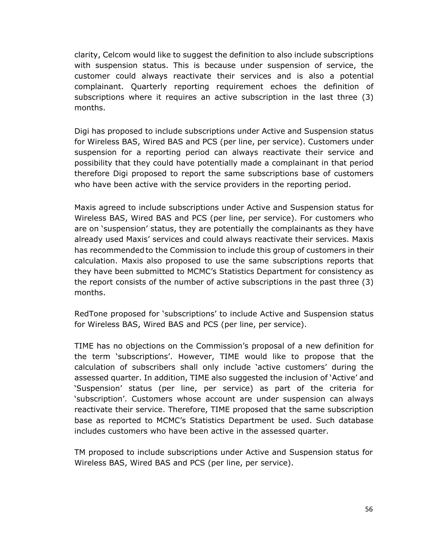clarity, Celcom would like to suggest the definition to also include subscriptions with suspension status. This is because under suspension of service, the customer could always reactivate their services and is also a potential complainant. Quarterly reporting requirement echoes the definition of subscriptions where it requires an active subscription in the last three (3) months.

Digi has proposed to include subscriptions under Active and Suspension status for Wireless BAS, Wired BAS and PCS (per line, per service). Customers under suspension for a reporting period can always reactivate their service and possibility that they could have potentially made a complainant in that period therefore Digi proposed to report the same subscriptions base of customers who have been active with the service providers in the reporting period.

Maxis agreed to include subscriptions under Active and Suspension status for Wireless BAS, Wired BAS and PCS (per line, per service). For customers who are on 'suspension' status, they are potentially the complainants as they have already used Maxis' services and could always reactivate their services. Maxis has recommendedto the Commission to include this group of customers in their calculation. Maxis also proposed to use the same subscriptions reports that they have been submitted to MCMC's Statistics Department for consistency as the report consists of the number of active subscriptions in the past three (3) months.

RedTone proposed for 'subscriptions' to include Active and Suspension status for Wireless BAS, Wired BAS and PCS (per line, per service).

TIME has no objections on the Commission's proposal of a new definition for the term 'subscriptions'. However, TIME would like to propose that the calculation of subscribers shall only include 'active customers' during the assessed quarter. In addition, TIME also suggested the inclusion of 'Active' and 'Suspension' status (per line, per service) as part of the criteria for 'subscription'. Customers whose account are under suspension can always reactivate their service. Therefore, TIME proposed that the same subscription base as reported to MCMC's Statistics Department be used. Such database includes customers who have been active in the assessed quarter.

TM proposed to include subscriptions under Active and Suspension status for Wireless BAS, Wired BAS and PCS (per line, per service).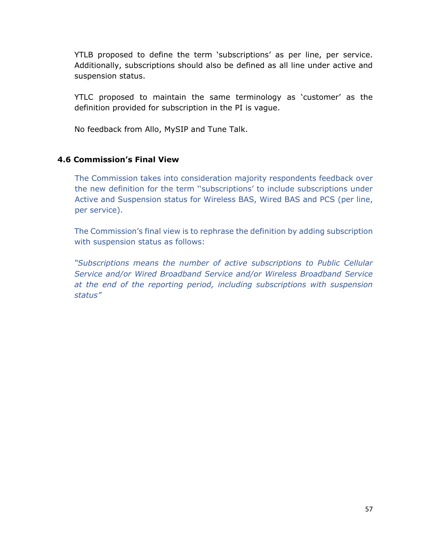YTLB proposed to define the term 'subscriptions' as per line, per service. Additionally, subscriptions should also be defined as all line under active and suspension status.

YTLC proposed to maintain the same terminology as 'customer' as the definition provided for subscription in the PI is vague.

No feedback from Allo, MySIP and Tune Talk.

# **4.6 Commission's Final View**

The Commission takes into consideration majority respondents feedback over the new definition for the term ''subscriptions' to include subscriptions under Active and Suspension status for Wireless BAS, Wired BAS and PCS (per line, per service).

The Commission's final view is to rephrase the definition by adding subscription with suspension status as follows:

*"Subscriptions means the number of active subscriptions to Public Cellular Service and/or Wired Broadband Service and/or Wireless Broadband Service at the end of the reporting period, including subscriptions with suspension status"*